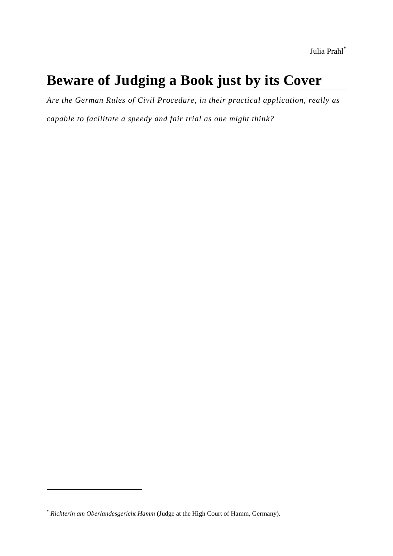# **Beware of Judging a Book just by its Cover**

*Are the German Rules of Civil Procedure, in their practical application, really as* 

*capable to facilitate a speedy and fair trial as one might think?*

<sup>\*</sup> *Richterin am Oberlandesgericht Hamm* (Judge at the High Court of Hamm, Germany).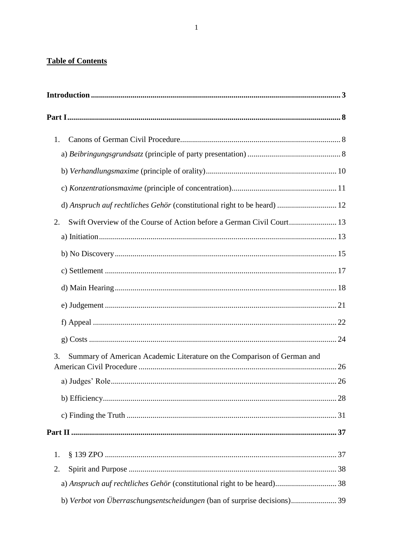### **Table of Contents**

| 1.                                                                            |  |
|-------------------------------------------------------------------------------|--|
|                                                                               |  |
|                                                                               |  |
|                                                                               |  |
| d) Anspruch auf rechtliches Gehör (constitutional right to be heard)  12      |  |
| 2.                                                                            |  |
|                                                                               |  |
|                                                                               |  |
|                                                                               |  |
|                                                                               |  |
|                                                                               |  |
|                                                                               |  |
|                                                                               |  |
| Summary of American Academic Literature on the Comparison of German and<br>3. |  |
|                                                                               |  |
|                                                                               |  |
|                                                                               |  |
|                                                                               |  |
| 1.                                                                            |  |
| 2.                                                                            |  |
| a) Anspruch auf rechtliches Gehör (constitutional right to be heard) 38       |  |
|                                                                               |  |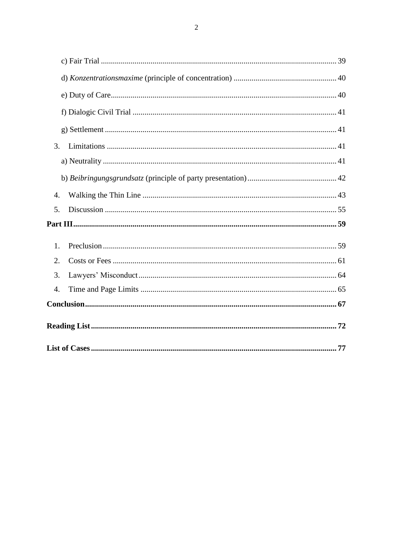|    | 3. |  |
|----|----|--|
|    |    |  |
|    |    |  |
|    | 4. |  |
|    | 5. |  |
|    |    |  |
|    | 1. |  |
| 2. |    |  |
| 3. |    |  |
| 4. |    |  |
|    |    |  |
|    |    |  |
|    |    |  |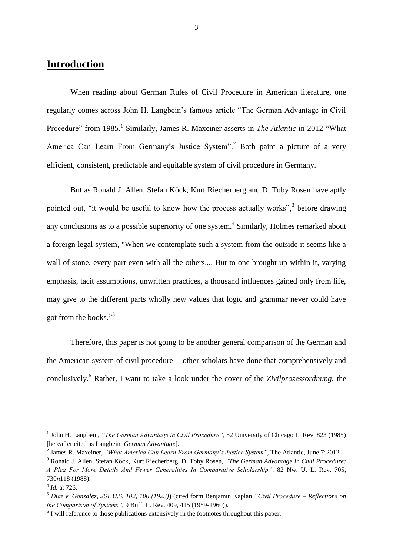## <span id="page-3-0"></span>**Introduction**

When reading about German Rules of Civil Procedure in American literature, one regularly comes across John H. Langbein's famous article "The German Advantage in Civil Procedure" from 1985.<sup>1</sup> Similarly, James R. Maxeiner asserts in *The Atlantic* in 2012 "What America Can Learn From Germany's Justice System".<sup>2</sup> Both paint a picture of a very efficient, consistent, predictable and equitable system of civil procedure in Germany.

But as Ronald J. Allen, Stefan Köck, Kurt Riecherberg and D. Toby Rosen have aptly pointed out, "it would be useful to know how the process actually works",<sup>3</sup> before drawing any conclusions as to a possible superiority of one system.<sup>4</sup> Similarly, Holmes remarked about a foreign legal system, "When we contemplate such a system from the outside it seems like a wall of stone, every part even with all the others.... But to one brought up within it, varying emphasis, tacit assumptions, unwritten practices, a thousand influences gained only from life, may give to the different parts wholly new values that logic and grammar never could have got from the books."<sup>5</sup>

Therefore, this paper is not going to be another general comparison of the German and the American system of civil procedure -- other scholars have done that comprehensively and conclusively.<sup>6</sup> Rather, I want to take a look under the cover of the *Zivilprozessordnung*, the

<sup>&</sup>lt;sup>1</sup> John H. Langbein, "The German Advantage in Civil Procedure", 52 University of Chicago L. Rev. 823 (1985) [hereafter cited as Langbein, *German Advantage*].

<sup>&</sup>lt;sup>2</sup> James R. Maxeiner, *"What America Can Learn From Germany's Justice System"*, The Atlantic, June 7<sup>,</sup> 2012.

<sup>3</sup> Ronald J. Allen, Stefan Köck, Kurt Riecherberg, D. Toby Rosen, *"The German Advantage In Civil Procedure: A Plea For More Details And Fewer Generalities In Comparative Scholarship"*, 82 Nw. U. L. Rev. 705, 730*n*118 (1988).

<sup>4</sup> *Id.* at 726.

<sup>5</sup> *Diaz v. Gonzalez, 261 U.S. 102, 106 (1923)*) (cited form Benjamin Kaplan *"Civil Procedure – Reflections on the Comparison of Systems"*, 9 Buff. L. Rev. 409, 415 (1959-1960)).

 $6$  I will reference to those publications extensively in the footnotes throughout this paper.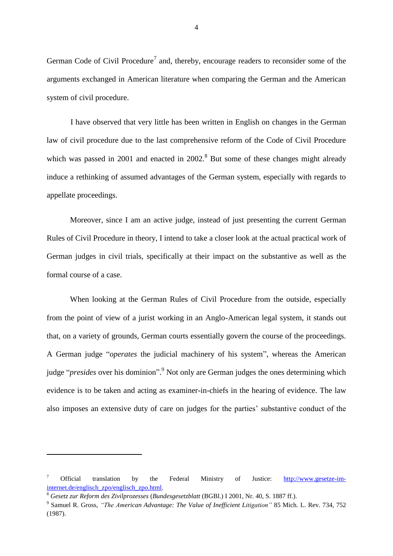German Code of Civil Procedure<sup>7</sup> and, thereby, encourage readers to reconsider some of the arguments exchanged in American literature when comparing the German and the American system of civil procedure.

I have observed that very little has been written in English on changes in the German law of civil procedure due to the last comprehensive reform of the Code of Civil Procedure which was passed in 2001 and enacted in  $2002$ .<sup>8</sup> But some of these changes might already induce a rethinking of assumed advantages of the German system, especially with regards to appellate proceedings.

Moreover, since I am an active judge, instead of just presenting the current German Rules of Civil Procedure in theory, I intend to take a closer look at the actual practical work of German judges in civil trials, specifically at their impact on the substantive as well as the formal course of a case.

When looking at the German Rules of Civil Procedure from the outside, especially from the point of view of a jurist working in an Anglo-American legal system, it stands out that, on a variety of grounds, German courts essentially govern the course of the proceedings. A German judge "*operates* the judicial machinery of his system", whereas the American judge "*presides* over his dominion". <sup>9</sup> Not only are German judges the ones determining which evidence is to be taken and acting as examiner-in-chiefs in the hearing of evidence. The law also imposes an extensive duty of care on judges for the parties' substantive conduct of the

<sup>7</sup> Official translation by the Federal Ministry of Justice: [http://www.gesetze-im](http://www.gesetze-im-internet.de/englisch_zpo/englisch_zpo.html)[internet.de/englisch\\_zpo/englisch\\_zpo.html.](http://www.gesetze-im-internet.de/englisch_zpo/englisch_zpo.html)

<sup>8</sup> *Gesetz zur Reform des Zivilprozesses* (*Bundesgesetzblatt* (BGBl.) I 2001, Nr. 40, S. 1887 ff.).

<sup>9</sup> Samuel R. Gross, *"The American Advantage: The Value of Inefficient Litigation"* 85 Mich. L. Rev. 734, 752 (1987).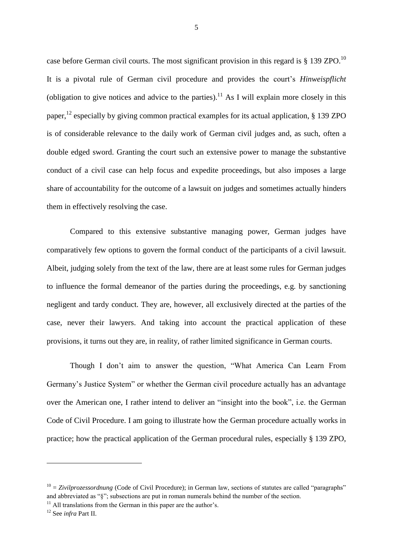case before German civil courts. The most significant provision in this regard is  $\S 139$  ZPO.<sup>10</sup> It is a pivotal rule of German civil procedure and provides the court's *Hinweispflicht* (obligation to give notices and advice to the parties).<sup>11</sup> As I will explain more closely in this paper,<sup>12</sup> especially by giving common practical examples for its actual application,  $\S$  139 ZPO is of considerable relevance to the daily work of German civil judges and, as such, often a double edged sword. Granting the court such an extensive power to manage the substantive conduct of a civil case can help focus and expedite proceedings, but also imposes a large share of accountability for the outcome of a lawsuit on judges and sometimes actually hinders them in effectively resolving the case.

Compared to this extensive substantive managing power, German judges have comparatively few options to govern the formal conduct of the participants of a civil lawsuit. Albeit, judging solely from the text of the law, there are at least some rules for German judges to influence the formal demeanor of the parties during the proceedings, e.g. by sanctioning negligent and tardy conduct. They are, however, all exclusively directed at the parties of the case, never their lawyers. And taking into account the practical application of these provisions, it turns out they are, in reality, of rather limited significance in German courts.

Though I don't aim to answer the question, "What America Can Learn From Germany's Justice System" or whether the German civil procedure actually has an advantage over the American one, I rather intend to deliver an "insight into the book", i.e. the German Code of Civil Procedure. I am going to illustrate how the German procedure actually works in practice; how the practical application of the German procedural rules, especially § 139 ZPO,

 $10 - Zivilprozessordnung$  (Code of Civil Procedure); in German law, sections of statutes are called "paragraphs" and abbreviated as "§"; subsections are put in roman numerals behind the number of the section.

 $11$  All translations from the German in this paper are the author's.

<sup>12</sup> See *infra* Part II.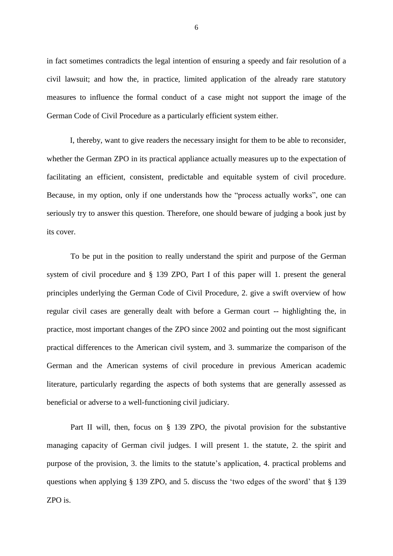in fact sometimes contradicts the legal intention of ensuring a speedy and fair resolution of a civil lawsuit; and how the, in practice, limited application of the already rare statutory measures to influence the formal conduct of a case might not support the image of the German Code of Civil Procedure as a particularly efficient system either.

I, thereby, want to give readers the necessary insight for them to be able to reconsider, whether the German ZPO in its practical appliance actually measures up to the expectation of facilitating an efficient, consistent, predictable and equitable system of civil procedure. Because, in my option, only if one understands how the "process actually works", one can seriously try to answer this question. Therefore, one should beware of judging a book just by its cover.

To be put in the position to really understand the spirit and purpose of the German system of civil procedure and § 139 ZPO, Part I of this paper will 1. present the general principles underlying the German Code of Civil Procedure, 2. give a swift overview of how regular civil cases are generally dealt with before a German court -- highlighting the, in practice, most important changes of the ZPO since 2002 and pointing out the most significant practical differences to the American civil system, and 3. summarize the comparison of the German and the American systems of civil procedure in previous American academic literature, particularly regarding the aspects of both systems that are generally assessed as beneficial or adverse to a well-functioning civil judiciary.

Part II will, then, focus on § 139 ZPO, the pivotal provision for the substantive managing capacity of German civil judges. I will present 1. the statute, 2. the spirit and purpose of the provision, 3. the limits to the statute's application, 4. practical problems and questions when applying  $\S$  139 ZPO, and 5, discuss the 'two edges of the sword' that  $\S$  139 ZPO is.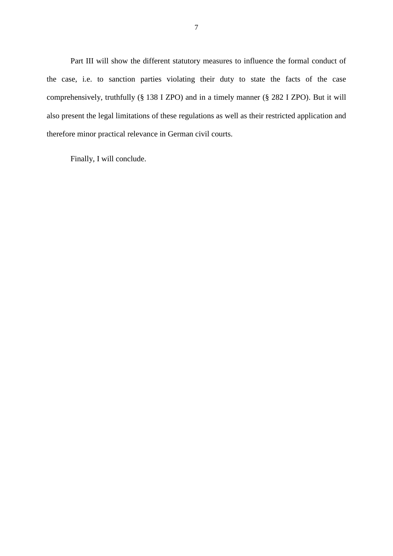Part III will show the different statutory measures to influence the formal conduct of the case, i.e. to sanction parties violating their duty to state the facts of the case comprehensively, truthfully (§ 138 I ZPO) and in a timely manner (§ 282 I ZPO). But it will also present the legal limitations of these regulations as well as their restricted application and therefore minor practical relevance in German civil courts.

Finally, I will conclude.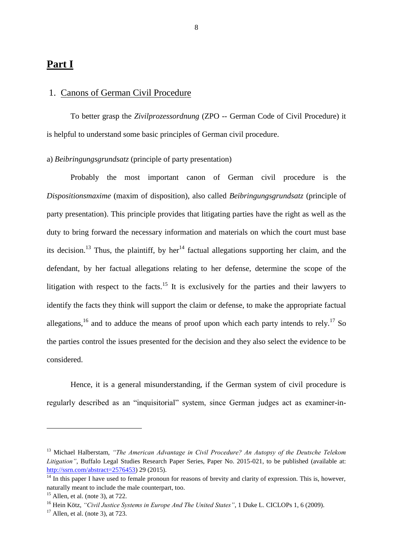## <span id="page-8-0"></span>**Part I**

#### <span id="page-8-1"></span>1. Canons of German Civil Procedure

To better grasp the *Zivilprozessordnung* (ZPO -- German Code of Civil Procedure) it is helpful to understand some basic principles of German civil procedure.

#### <span id="page-8-2"></span>a) *Beibringungsgrundsatz* (principle of party presentation)

Probably the most important canon of German civil procedure is the *Dispositionsmaxime* (maxim of disposition), also called *Beibringungsgrundsatz* (principle of party presentation). This principle provides that litigating parties have the right as well as the duty to bring forward the necessary information and materials on which the court must base its decision.<sup>13</sup> Thus, the plaintiff, by her<sup>14</sup> factual allegations supporting her claim, and the defendant, by her factual allegations relating to her defense, determine the scope of the litigation with respect to the facts.<sup>15</sup> It is exclusively for the parties and their lawyers to identify the facts they think will support the claim or defense, to make the appropriate factual allegations,<sup>16</sup> and to adduce the means of proof upon which each party intends to rely.<sup>17</sup> So the parties control the issues presented for the decision and they also select the evidence to be considered.

Hence, it is a general misunderstanding, if the German system of civil procedure is regularly described as an "inquisitorial" system, since German judges act as examiner-in-

<sup>13</sup> Michael Halberstam, *"The American Advantage in Civil Procedure? An Autopsy of the Deutsche Telekom Litigation"*, Buffalo Legal Studies Research Paper Series, Paper No. 2015-021, to be published (available at: [http://ssrn.com/abstract=2576453\)](http://ssrn.com/abstract=2576453) 29 (2015).

 $14$  In this paper I have used to female pronoun for reasons of brevity and clarity of expression. This is, however, naturally meant to include the male counterpart, too.

 $15$  Allen, et al. (note 3), at 722.

<sup>&</sup>lt;sup>16</sup> Hein Kötz, *"Civil Justice Systems in Europe And The United States"*, 1 Duke L. CICLOPs 1, 6 (2009).

 $17$  Allen, et al. (note 3), at 723.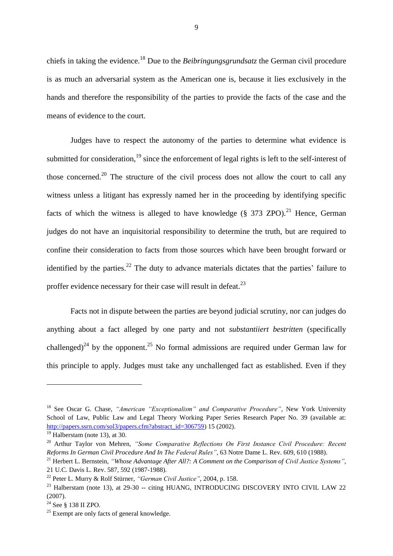chiefs in taking the evidence.<sup>18</sup> Due to the *Beibringungsgrundsatz* the German civil procedure is as much an adversarial system as the American one is, because it lies exclusively in the hands and therefore the responsibility of the parties to provide the facts of the case and the means of evidence to the court.

Judges have to respect the autonomy of the parties to determine what evidence is submitted for consideration,<sup>19</sup> since the enforcement of legal rights is left to the self-interest of those concerned.<sup>20</sup> The structure of the civil process does not allow the court to call any witness unless a litigant has expressly named her in the proceeding by identifying specific facts of which the witness is alleged to have knowledge (§ 373 ZPO).<sup>21</sup> Hence, German judges do not have an inquisitorial responsibility to determine the truth, but are required to confine their consideration to facts from those sources which have been brought forward or identified by the parties.<sup>22</sup> The duty to advance materials dictates that the parties' failure to proffer evidence necessary for their case will result in defeat.<sup>23</sup>

Facts not in dispute between the parties are beyond judicial scrutiny, nor can judges do anything about a fact alleged by one party and not *substantiiert bestritten* (specifically challenged)<sup>24</sup> by the opponent.<sup>25</sup> No formal admissions are required under German law for this principle to apply. Judges must take any unchallenged fact as established. Even if they

<sup>18</sup> See Oscar G. Chase, *"American "Exceptionalism" and Comparative Procedure"*, New York University School of Law, Public Law and Legal Theory Working Paper Series Research Paper No. 39 (available at: [http://papers.ssrn.com/sol3/papers.cfm?abstract\\_id=306759\)](http://papers.ssrn.com/sol3/papers.cfm?abstract_id=306759) 15 (2002).

 $19$  Halberstam (note 13), at 30.

<sup>20</sup> Arthur Taylor von Mehren, *"Some Comparative Reflections On First Instance Civil Procedure: Recent Reforms In German Civil Procedure And In The Federal Rules"*, 63 Notre Dame L. Rev. 609, 610 (1988).

<sup>21</sup> Herbert L. Bernstein, *"Whose Advantage After All?: A Comment on the Comparison of Civil Justice Systems"*, 21 U.C. Davis L. Rev. 587, 592 (1987-1988).

<sup>22</sup> Peter L. Murry & Rolf Stürner, *"German Civil Justice"*, 2004, p. 158.

 $^{23}$  Halberstam (note 13), at 29-30 -- citing HUANG, INTRODUCING DISCOVERY INTO CIVIL LAW 22 (2007).

 $24$  See  $8$  138 II ZPO.

<sup>&</sup>lt;sup>25</sup> Exempt are only facts of general knowledge.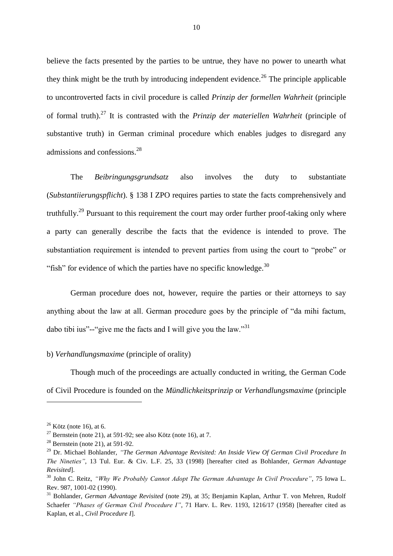believe the facts presented by the parties to be untrue, they have no power to unearth what they think might be the truth by introducing independent evidence.<sup>26</sup> The principle applicable to uncontroverted facts in civil procedure is called *Prinzip der formellen Wahrheit* (principle of formal truth).<sup>27</sup> It is contrasted with the *Prinzip der materiellen Wahrheit* (principle of substantive truth) in German criminal procedure which enables judges to disregard any admissions and confessions.<sup>28</sup>

The *Beibringungsgrundsatz* also involves the duty to substantiate (*Substantiierungspflicht*). § 138 I ZPO requires parties to state the facts comprehensively and truthfully.<sup>29</sup> Pursuant to this requirement the court may order further proof-taking only where a party can generally describe the facts that the evidence is intended to prove. The substantiation requirement is intended to prevent parties from using the court to "probe" or "fish" for evidence of which the parties have no specific knowledge. $30$ 

German procedure does not, however, require the parties or their attorneys to say anything about the law at all. German procedure goes by the principle of "da mihi factum, dabo tibi ius"--"give me the facts and I will give you the law."<sup>31</sup>

#### <span id="page-10-0"></span>b) *Verhandlungsmaxime* (principle of orality)

Though much of the proceedings are actually conducted in writing, the German Code of Civil Procedure is founded on the *Mündlichkeitsprinzip* or *Verhandlungsmaxime* (principle

 $26$  Kötz (note 16), at 6.

<sup>&</sup>lt;sup>27</sup> Bernstein (note 21), at 591-92; see also Kötz (note 16), at 7.

 $28$  Bernstein (note 21), at 591-92.

<sup>29</sup> Dr. Michael Bohlander, *"The German Advantage Revisited: An Inside View Of German Civil Procedure In The Nineties"*, 13 Tul. Eur. & Civ. L.F. 25, 33 (1998) [hereafter cited as Bohlander, *German Advantage Revisited*].

<sup>30</sup> John C. Reitz, *"Why We Probably Cannot Adopt The German Advantage In Civil Procedure"*, 75 Iowa L. Rev. 987, 1001-02 (1990).

<sup>31</sup> Bohlander, *German Advantage Revisited* (note 29), at 35; Benjamin Kaplan, Arthur T. von Mehren, Rudolf Schaefer *"Phases of German Civil Procedure I"*, 71 Harv. L. Rev. 1193, 1216/17 (1958) [hereafter cited as Kaplan, et al., *Civil Procedure I*].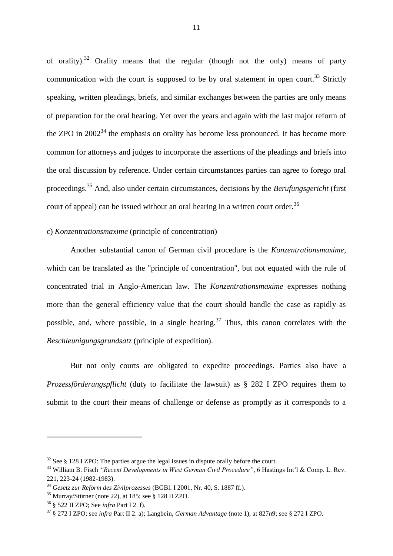of orality).<sup>32</sup> Orality means that the regular (though not the only) means of party communication with the court is supposed to be by oral statement in open court.<sup>33</sup> Strictly speaking, written pleadings, briefs, and similar exchanges between the parties are only means of preparation for the oral hearing. Yet over the years and again with the last major reform of the ZPO in  $2002^{34}$  the emphasis on orality has become less pronounced. It has become more common for attorneys and judges to incorporate the assertions of the pleadings and briefs into the oral discussion by reference. Under certain circumstances parties can agree to forego oral proceedings.<sup>35</sup> And, also under certain circumstances, decisions by the *Berufungsgericht* (first court of appeal) can be issued without an oral hearing in a written court order.<sup>36</sup>

#### <span id="page-11-0"></span>c) *Konzentrationsmaxime* (principle of concentration)

Another substantial canon of German civil procedure is the *Konzentrationsmaxime*, which can be translated as the "principle of concentration", but not equated with the rule of concentrated trial in Anglo-American law. The *Konzentrationsmaxime* expresses nothing more than the general efficiency value that the court should handle the case as rapidly as possible, and, where possible, in a single hearing.<sup>37</sup> Thus, this canon correlates with the *Beschleunigungsgrundsatz* (principle of expedition).

But not only courts are obligated to expedite proceedings. Parties also have a *Prozessförderungspflicht* (duty to facilitate the lawsuit) as § 282 I ZPO requires them to submit to the court their means of challenge or defense as promptly as it corresponds to a

 $32$  See § 128 I ZPO: The parties argue the legal issues in dispute orally before the court.

<sup>33</sup> William B. Fisch *"Recent Developments in West German Civil Procedure"*, 6 Hastings Int'l & Comp. L. Rev. 221, 223-24 (1982-1983).

<sup>34</sup> *Gesetz zur Reform des Zivilprozesses* (BGBl. I 2001, Nr. 40, S. 1887 ff.).

<sup>35</sup> Murray/Stürner (note 22), at 185; see § 128 II ZPO.

<sup>36</sup> § 522 II ZPO; See *infra* Part I 2. f).

<sup>37</sup> § 272 I ZPO; see *infra* Part II 2. a); Langbein, *German Advantage* (note 1), at 827*n*9; see § 272 I ZPO.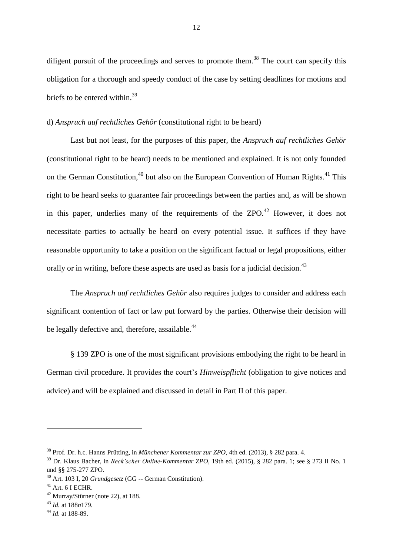diligent pursuit of the proceedings and serves to promote them.<sup>38</sup> The court can specify this obligation for a thorough and speedy conduct of the case by setting deadlines for motions and briefs to be entered within.<sup>39</sup>

#### <span id="page-12-0"></span>d) *Anspruch auf rechtliches Gehör* (constitutional right to be heard)

Last but not least, for the purposes of this paper, the *Anspruch auf rechtliches Gehör* (constitutional right to be heard) needs to be mentioned and explained. It is not only founded on the German Constitution,<sup>40</sup> but also on the European Convention of Human Rights.<sup>41</sup> This right to be heard seeks to guarantee fair proceedings between the parties and, as will be shown in this paper, underlies many of the requirements of the  $ZPO<sup>42</sup>$  However, it does not necessitate parties to actually be heard on every potential issue. It suffices if they have reasonable opportunity to take a position on the significant factual or legal propositions, either orally or in writing, before these aspects are used as basis for a judicial decision.<sup>43</sup>

The *Anspruch auf rechtliches Gehör* also requires judges to consider and address each significant contention of fact or law put forward by the parties. Otherwise their decision will be legally defective and, therefore, assailable.<sup>44</sup>

§ 139 ZPO is one of the most significant provisions embodying the right to be heard in German civil procedure. It provides the court's *Hinweispflicht* (obligation to give notices and advice) and will be explained and discussed in detail in Part II of this paper.

<sup>38</sup> Prof. Dr. h.c. Hanns Prütting, in *Münchener Kommentar zur ZPO*, 4th ed. (2013), § 282 para. 4.

<sup>39</sup> Dr. Klaus Bacher, in *Beck'scher Online-Kommentar ZPO*, 19th ed. (2015), § 282 para. 1; see § 273 II No. 1 und §§ 275-277 ZPO.

<sup>40</sup> Art. 103 I, 20 *Grundgesetz* (GG -- German Constitution).

 $41$  Art. 6 I ECHR.

 $42$  Murray/Stürner (note 22), at 188.

<sup>43</sup> *Id.* at 188*n*179.

<sup>44</sup> *Id.* at 188-89.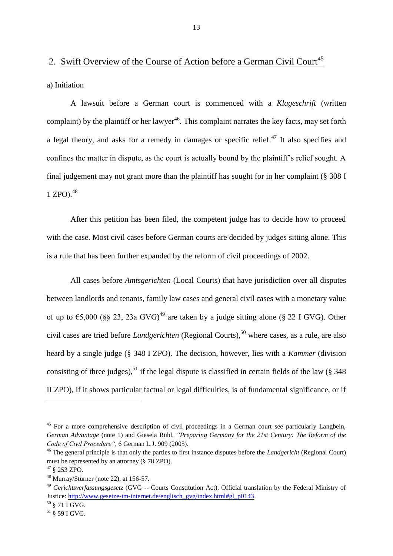## <span id="page-13-0"></span>2. Swift Overview of the Course of Action before a German Civil Court<sup>45</sup>

<span id="page-13-1"></span>a) Initiation

A lawsuit before a German court is commenced with a *Klageschrift* (written complaint) by the plaintiff or her lawyer<sup>46</sup>. This complaint narrates the key facts, may set forth a legal theory, and asks for a remedy in damages or specific relief.<sup>47</sup> It also specifies and confines the matter in dispute, as the court is actually bound by the plaintiff's relief sought. A final judgement may not grant more than the plaintiff has sought for in her complaint (§ 308 I 1 ZPO). 48

After this petition has been filed, the competent judge has to decide how to proceed with the case. Most civil cases before German courts are decided by judges sitting alone. This is a rule that has been further expanded by the reform of civil proceedings of 2002.

All cases before *Amtsgerichten* (Local Courts) that have jurisdiction over all disputes between landlords and tenants, family law cases and general civil cases with a monetary value of up to  $\epsilon$ 5,000 (§§ 23, 23a GVG)<sup>49</sup> are taken by a judge sitting alone (§ 22 I GVG). Other civil cases are tried before *Landgerichten* (Regional Courts), <sup>50</sup> where cases, as a rule, are also heard by a single judge (§ 348 I ZPO). The decision, however, lies with a *Kammer* (division consisting of three judges),<sup>51</sup> if the legal dispute is classified in certain fields of the law (§ 348) II ZPO), if it shows particular factual or legal difficulties, is of fundamental significance, or if

<sup>&</sup>lt;sup>45</sup> For a more comprehensive description of civil proceedings in a German court see particularly Langbein, *German Advantage* (note 1) and Giesela Rühl, *"Preparing Germany for the 21st Century: The Reform of the Code of Civil Procedure"*, 6 German L.J. 909 (2005).

<sup>46</sup> The general principle is that only the parties to first instance disputes before the *Landgericht* (Regional Court) must be represented by an attorney (§ 78 ZPO).

<sup>47</sup> § 253 ZPO.

 $48$  Murray/Stürner (note 22), at 156-57.

<sup>49</sup> *Gerichtsverfassungsgesetz* (GVG -- Courts Constitution Act). Official translation by the Federal Ministry of Justice: [http://www.gesetze-im-internet.de/englisch\\_gvg/index.html#gl\\_p0143.](http://www.gesetze-im-internet.de/englisch_gvg/index.html#gl_p0143)

 $50 \text{ }$ § 71 I GVG.

 $51$  § 59 I GVG.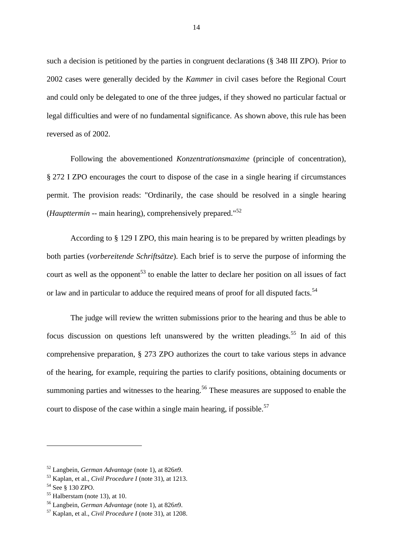such a decision is petitioned by the parties in congruent declarations (§ 348 III ZPO). Prior to 2002 cases were generally decided by the *Kammer* in civil cases before the Regional Court and could only be delegated to one of the three judges, if they showed no particular factual or legal difficulties and were of no fundamental significance. As shown above, this rule has been reversed as of 2002.

Following the abovementioned *Konzentrationsmaxime* (principle of concentration), § 272 I ZPO encourages the court to dispose of the case in a single hearing if circumstances permit. The provision reads: "Ordinarily*,* the case should be resolved in a single hearing (*Haupttermin* -- main hearing), comprehensively prepared."<sup>52</sup>

According to § 129 I ZPO, this main hearing is to be prepared by written pleadings by both parties (*vorbereitende Schriftsätze*). Each brief is to serve the purpose of informing the court as well as the opponent<sup>53</sup> to enable the latter to declare her position on all issues of fact or law and in particular to adduce the required means of proof for all disputed facts.<sup>54</sup>

The judge will review the written submissions prior to the hearing and thus be able to focus discussion on questions left unanswered by the written pleadings.<sup>55</sup> In aid of this comprehensive preparation, § 273 ZPO authorizes the court to take various steps in advance of the hearing, for example, requiring the parties to clarify positions, obtaining documents or summoning parties and witnesses to the hearing.<sup>56</sup> These measures are supposed to enable the court to dispose of the case within a single main hearing, if possible.<sup>57</sup>

<sup>52</sup> Langbein, *German Advantage* (note 1), at 826*n*9.

<sup>53</sup> Kaplan, et al., *Civil Procedure I* (note 31), at 1213.

<sup>54</sup> See § 130 ZPO.

 $55$  Halberstam (note 13), at 10.

<sup>56</sup> Langbein, *German Advantage* (note 1), at 826*n*9.

<sup>57</sup> Kaplan, et al., *Civil Procedure I* (note 31), at 1208.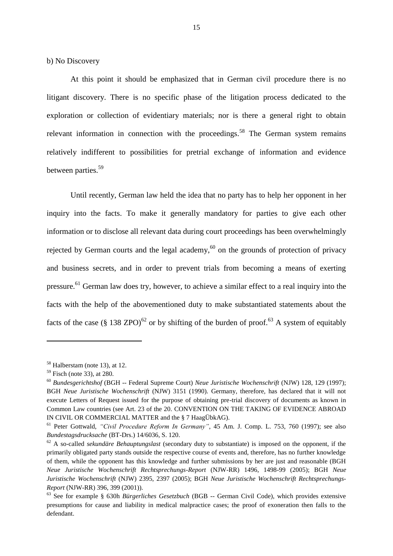<span id="page-15-0"></span>b) No Discovery

At this point it should be emphasized that in German civil procedure there is no litigant discovery. There is no specific phase of the litigation process dedicated to the exploration or collection of evidentiary materials; nor is there a general right to obtain relevant information in connection with the proceedings.<sup>58</sup> The German system remains relatively indifferent to possibilities for pretrial exchange of information and evidence between parties.<sup>59</sup>

Until recently, German law held the idea that no party has to help her opponent in her inquiry into the facts. To make it generally mandatory for parties to give each other information or to disclose all relevant data during court proceedings has been overwhelmingly rejected by German courts and the legal academy,<sup>60</sup> on the grounds of protection of privacy and business secrets, and in order to prevent trials from becoming a means of exerting pressure.<sup>61</sup> German law does try, however, to achieve a similar effect to a real inquiry into the facts with the help of the abovementioned duty to make substantiated statements about the facts of the case (§ 138 ZPO)<sup>62</sup> or by shifting of the burden of proof.<sup>63</sup> A system of equitably

<sup>58</sup> Halberstam (note 13), at 12.

 $59$  Fisch (note 33), at 280.

<sup>60</sup> *Bundesgerichtshof* (BGH -- Federal Supreme Court) *Neue Juristische Wochenschrift* (NJW) 128, 129 (1997); BGH *Neue Juristische Wochenschrift* (NJW) 3151 (1990). Germany, therefore, has declared that it will not execute Letters of Request issued for the purpose of obtaining pre-trial discovery of documents as known in Common Law countries (see Art. 23 of the 20. CONVENTION ON THE TAKING OF EVIDENCE ABROAD IN CIVIL OR COMMERCIAL MATTER and the § 7 HaagÜbkAG).

<sup>61</sup> Peter Gottwald, *"Civil Procedure Reform In Germany"*, 45 Am. J. Comp. L. 753, 760 (1997); see also *Bundestagsdrucksache* (BT-Drs.) 14/6036, S. 120.

<sup>62</sup> A so-called *sekundäre Behauptungslast* (secondary duty to substantiate) is imposed on the opponent, if the primarily obligated party stands outside the respective course of events and, therefore, has no further knowledge of them, while the opponent has this knowledge and further submissions by her are just and reasonable (BGH *Neue Juristische Wochenschrift Rechtsprechungs-Report* (NJW-RR) 1496, 1498-99 (2005); BGH *Neue Juristische Wochenschrift* (NJW) 2395, 2397 (2005); BGH *Neue Juristische Wochenschrift Rechtsprechungs-Report* (NJW-RR) 396, 399 (2001)).

<sup>63</sup> See for example § 630h *Bürgerliches Gesetzbuch* (BGB -- German Civil Code), which provides extensive presumptions for cause and liability in medical malpractice cases; the proof of exoneration then falls to the defendant.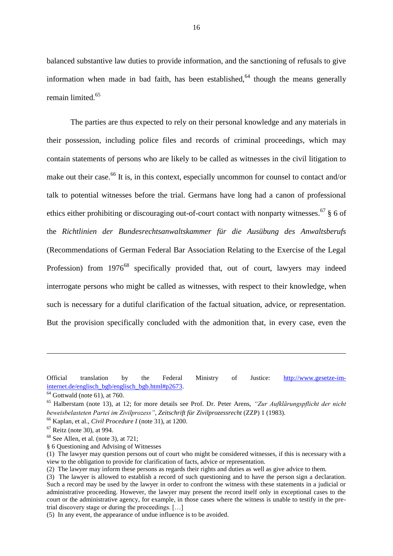balanced substantive law duties to provide information, and the sanctioning of refusals to give information when made in bad faith, has been established,  $64$  though the means generally remain limited.<sup>65</sup>

The parties are thus expected to rely on their personal knowledge and any materials in their possession, including police files and records of criminal proceedings, which may contain statements of persons who are likely to be called as witnesses in the civil litigation to make out their case.<sup>66</sup> It is, in this context, especially uncommon for counsel to contact and/or talk to potential witnesses before the trial. Germans have long had a canon of professional ethics either prohibiting or discouraging out-of-court contact with nonparty witnesses.<sup>67</sup> § 6 of the *Richtlinien der Bundesrechtsanwaltskammer für die Ausübung des Anwaltsberufs* (Recommendations of German Federal Bar Association Relating to the Exercise of the Legal Profession) from 1976<sup>68</sup> specifically provided that, out of court, lawyers may indeed interrogate persons who might be called as witnesses, with respect to their knowledge, when such is necessary for a dutiful clarification of the factual situation, advice, or representation. But the provision specifically concluded with the admonition that, in every case, even the

 $\overline{a}$ 

Official translation by the Federal Ministry of Justice: [http://www.gesetze-im](http://www.gesetze-im-internet.de/englisch_bgb/englisch_bgb.html#p2673)[internet.de/englisch\\_bgb/englisch\\_bgb.html#p2673.](http://www.gesetze-im-internet.de/englisch_bgb/englisch_bgb.html#p2673)

 $64$  Gottwald (note 61), at 760.

<sup>65</sup> Halberstam (note 13), at 12; for more details see Prof. Dr. Peter Arens, *"Zur Aufklärungspflicht der nicht beweisbelasteten Partei im Zivilprozess"*, *Zeitschrift für Zivilprozessrecht* (ZZP) 1 (1983).

<sup>66</sup> Kaplan, et al., *Civil Procedure I* (note 31), at 1200.

 $67$  Reitz (note 30), at 994.

 $68$  See Allen, et al. (note 3), at 721;

<sup>§ 6</sup> Questioning and Advising of Witnesses

<sup>(1)</sup> The lawyer may question persons out of court who might be considered witnesses, if this is necessary with a view to the obligation to provide for clarification of facts, advice or representation.

<sup>(2)</sup> The lawyer may inform these persons as regards their rights and duties as well as give advice to them.

<sup>(3)</sup> The lawyer is allowed to establish a record of such questioning and to have the person sign a declaration. Such a record may be used by the lawyer in order to confront the witness with these statements in a judicial or administrative proceeding. However, the lawyer may present the record itself only in exceptional cases to the court or the administrative agency, for example, in those cases where the witness is unable to testify in the pretrial discovery stage or during the proceedings. […]

<sup>(5)</sup> In any event, the appearance of undue influence is to be avoided.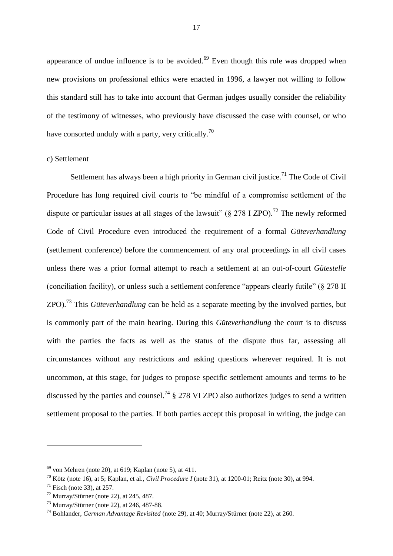appearance of undue influence is to be avoided. $69$  Even though this rule was dropped when new provisions on professional ethics were enacted in 1996, a lawyer not willing to follow this standard still has to take into account that German judges usually consider the reliability of the testimony of witnesses, who previously have discussed the case with counsel, or who have consorted unduly with a party, very critically.<sup>70</sup>

#### <span id="page-17-0"></span>c) Settlement

Settlement has always been a high priority in German civil justice.<sup>71</sup> The Code of Civil Procedure has long required civil courts to "be mindful of a compromise settlement of the dispute or particular issues at all stages of the lawsuit" ( $\S 278$  I ZPO).<sup>72</sup> The newly reformed Code of Civil Procedure even introduced the requirement of a formal *Güteverhandlung* (settlement conference) before the commencement of any oral proceedings in all civil cases unless there was a prior formal attempt to reach a settlement at an out-of-court *Gütestelle* (conciliation facility), or unless such a settlement conference "appears clearly futile" (§ 278 II ZPO).<sup>73</sup> This *Güteverhandlung* can be held as a separate meeting by the involved parties, but is commonly part of the main hearing. During this *Güteverhandlung* the court is to discuss with the parties the facts as well as the status of the dispute thus far, assessing all circumstances without any restrictions and asking questions wherever required. It is not uncommon, at this stage, for judges to propose specific settlement amounts and terms to be discussed by the parties and counsel.<sup>74</sup>  $\frac{1}{2}$  278 VI ZPO also authorizes judges to send a written settlement proposal to the parties. If both parties accept this proposal in writing, the judge can

 $69$  von Mehren (note 20), at 619; Kaplan (note 5), at 411.

<sup>70</sup> Kötz (note 16), at 5; Kaplan, et al., *Civil Procedure I* (note 31), at 1200-01; Reitz (note 30), at 994.

 $71$  Fisch (note 33), at 257.

 $72$  Murray/Stürner (note 22), at 245, 487.

<sup>73</sup> Murray/Stürner (note 22), at 246, 487-88.

<sup>74</sup> Bohlander, *German Advantage Revisited* (note 29), at 40; Murray/Stürner (note 22), at 260.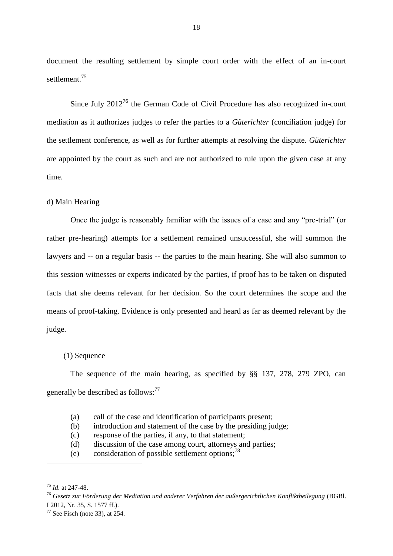document the resulting settlement by simple court order with the effect of an in-court settlement.<sup>75</sup>

Since July  $2012^{76}$  the German Code of Civil Procedure has also recognized in-court mediation as it authorizes judges to refer the parties to a *Güterichter* (conciliation judge) for the settlement conference, as well as for further attempts at resolving the dispute. *Güterichter* are appointed by the court as such and are not authorized to rule upon the given case at any time.

#### <span id="page-18-0"></span>d) Main Hearing

Once the judge is reasonably familiar with the issues of a case and any "pre-trial" (or rather pre-hearing) attempts for a settlement remained unsuccessful, she will summon the lawyers and -- on a regular basis -- the parties to the main hearing. She will also summon to this session witnesses or experts indicated by the parties, if proof has to be taken on disputed facts that she deems relevant for her decision. So the court determines the scope and the means of proof-taking. Evidence is only presented and heard as far as deemed relevant by the judge.

#### (1) Sequence

The sequence of the main hearing, as specified by §§ 137, 278, 279 ZPO, can generally be described as follows:<sup>77</sup>

- (a) call of the case and identification of participants present;
- (b) introduction and statement of the case by the presiding judge;
- (c) response of the parties, if any, to that statement;
- (d) discussion of the case among court, attorneys and parties;
- (e) consideration of possible settlement options; 78

<sup>75</sup> *Id.* at 247-48.

<sup>76</sup> *Gesetz zur Förderung der Mediation und anderer Verfahren der außergerichtlichen Konfliktbeilegung* (BGBl. I 2012, Nr. 35, S. 1577 ff.).

 $77$  See Fisch (note 33), at 254.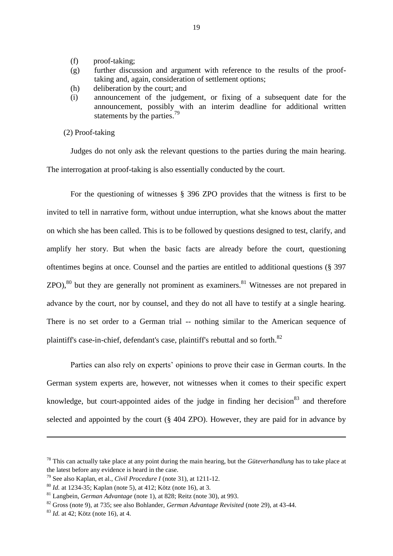- (f) proof-taking;
- (g) further discussion and argument with reference to the results of the prooftaking and, again, consideration of settlement options;
- (h) deliberation by the court; and
- (i) announcement of the judgement, or fixing of a subsequent date for the announcement, possibly with an interim deadline for additional written statements by the parties.<sup>79</sup>
- (2) Proof-taking

Judges do not only ask the relevant questions to the parties during the main hearing. The interrogation at proof-taking is also essentially conducted by the court.

For the questioning of witnesses § 396 ZPO provides that the witness is first to be invited to tell in narrative form, without undue interruption, what she knows about the matter on which she has been called. This is to be followed by questions designed to test, clarify, and amplify her story. But when the basic facts are already before the court, questioning oftentimes begins at once. Counsel and the parties are entitled to additional questions (§ 397  $ZPO$ ,  $80$  but they are generally not prominent as examiners. <sup>81</sup> Witnesses are not prepared in advance by the court, nor by counsel, and they do not all have to testify at a single hearing. There is no set order to a German trial -- nothing similar to the American sequence of plaintiff's case-in-chief, defendant's case, plaintiff's rebuttal and so forth.<sup>82</sup>

Parties can also rely on experts' opinions to prove their case in German courts. In the German system experts are, however, not witnesses when it comes to their specific expert knowledge, but court-appointed aides of the judge in finding her decision<sup>83</sup> and therefore selected and appointed by the court (§ 404 ZPO). However, they are paid for in advance by

 $\ddot{\phantom{a}}$ 

<sup>78</sup> This can actually take place at any point during the main hearing, but the *Güteverhandlung* has to take place at the latest before any evidence is heard in the case.

<sup>79</sup> See also Kaplan, et al., *Civil Procedure I* (note 31), at 1211-12.

<sup>80</sup> *Id.* at 1234-35; Kaplan (note 5), at 412; Kötz (note 16), at 3.

<sup>81</sup> Langbein, *German Advantage* (note 1), at 828; Reitz (note 30), at 993.

<sup>82</sup> Gross (note 9), at 735; see also Bohlander, *German Advantage Revisited* (note 29), at 43-44.

<sup>83</sup> *Id.* at 42; Kötz (note 16), at 4.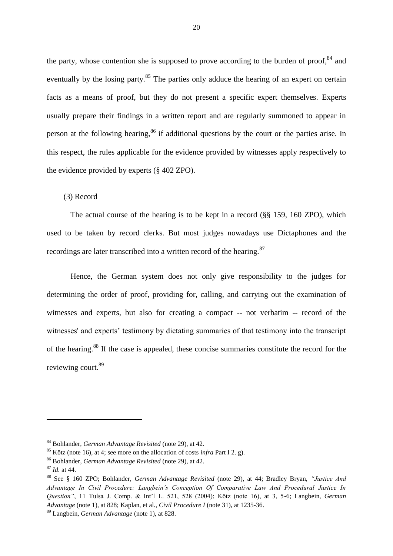the party, whose contention she is supposed to prove according to the burden of proof,  $84$  and eventually by the losing party.<sup>85</sup> The parties only adduce the hearing of an expert on certain facts as a means of proof, but they do not present a specific expert themselves. Experts usually prepare their findings in a written report and are regularly summoned to appear in person at the following hearing,<sup>86</sup> if additional questions by the court or the parties arise. In this respect, the rules applicable for the evidence provided by witnesses apply respectively to the evidence provided by experts (§ 402 ZPO).

#### (3) Record

The actual course of the hearing is to be kept in a record (§§ 159, 160 ZPO), which used to be taken by record clerks. But most judges nowadays use Dictaphones and the recordings are later transcribed into a written record of the hearing.<sup>87</sup>

Hence, the German system does not only give responsibility to the judges for determining the order of proof, providing for, calling, and carrying out the examination of witnesses and experts, but also for creating a compact -- not verbatim -- record of the witnesses' and experts' testimony by dictating summaries of that testimony into the transcript of the hearing.<sup>88</sup> If the case is appealed, these concise summaries constitute the record for the reviewing court.<sup>89</sup>

<sup>84</sup> Bohlander, *German Advantage Revisited* (note 29), at 42.

<sup>85</sup> Kötz (note 16), at 4; see more on the allocation of costs *infra* Part I 2. g).

<sup>86</sup> Bohlander, *German Advantage Revisited* (note 29), at 42.

<sup>87</sup> *Id.* at 44.

<sup>88</sup> See § 160 ZPO; Bohlander, *German Advantage Revisited* (note 29), at 44; Bradley Bryan, *"Justice And Advantage In Civil Procedure: Langbein's Conception Of Comparative Law And Procedural Justice In Question"*, 11 Tulsa J. Comp. & Int'l L. 521, 528 (2004); Kötz (note 16), at 3, 5-6; Langbein, *German Advantage* (note 1), at 828; Kaplan, et al., *Civil Procedure I* (note 31), at 1235-36.

<sup>89</sup> Langbein, *German Advantage* (note 1), at 828.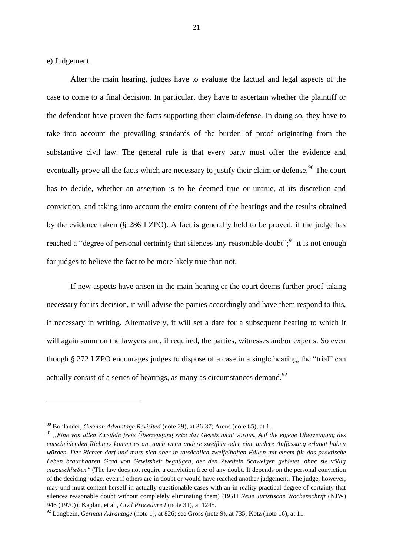<span id="page-21-0"></span>e) Judgement

1

After the main hearing, judges have to evaluate the factual and legal aspects of the case to come to a final decision. In particular, they have to ascertain whether the plaintiff or the defendant have proven the facts supporting their claim/defense. In doing so, they have to take into account the prevailing standards of the burden of proof originating from the substantive civil law. The general rule is that every party must offer the evidence and eventually prove all the facts which are necessary to justify their claim or defense.<sup>90</sup> The court has to decide, whether an assertion is to be deemed true or untrue, at its discretion and conviction, and taking into account the entire content of the hearings and the results obtained by the evidence taken (§ 286 I ZPO). A fact is generally held to be proved, if the judge has reached a "degree of personal certainty that silences any reasonable doubt";  $^{91}$  it is not enough for judges to believe the fact to be more likely true than not.

If new aspects have arisen in the main hearing or the court deems further proof-taking necessary for its decision, it will advise the parties accordingly and have them respond to this, if necessary in writing. Alternatively, it will set a date for a subsequent hearing to which it will again summon the lawyers and, if required, the parties, witnesses and/or experts. So even though § 272 I ZPO encourages judges to dispose of a case in a single hearing, the "trial" can actually consist of a series of hearings, as many as circumstances demand.<sup>92</sup>

<sup>90</sup> Bohlander, *German Advantage Revisited* (note 29), at 36-37; Arens (note 65), at 1.

<sup>91</sup> *"Eine von allen Zweifeln freie Überzeugung setzt das Gesetz nicht voraus. Auf die eigene Überzeugung des entscheidenden Richters kommt es an, auch wenn andere zweifeln oder eine andere Auffassung erlangt haben würden. Der Richter darf und muss sich aber in tatsächlich zweifelhaften Fällen mit einem für das praktische Leben brauchbaren Grad von Gewissheit begnügen, der den Zweifeln Schweigen gebietet, ohne sie völlig auszuschließen"* (The law does not require a conviction free of any doubt. It depends on the personal conviction of the deciding judge, even if others are in doubt or would have reached another judgement. The judge, however, may und must content herself in actually questionable cases with an in reality practical degree of certainty that silences reasonable doubt without completely eliminating them) (BGH *Neue Juristische Wochenschrift* (NJW) 946 (1970)); Kaplan, et al., *Civil Procedure I* (note 31), at 1245.

<sup>92</sup> Langbein, *German Advantage* (note 1), at 826; see Gross (note 9), at 735; Kötz (note 16), at 11.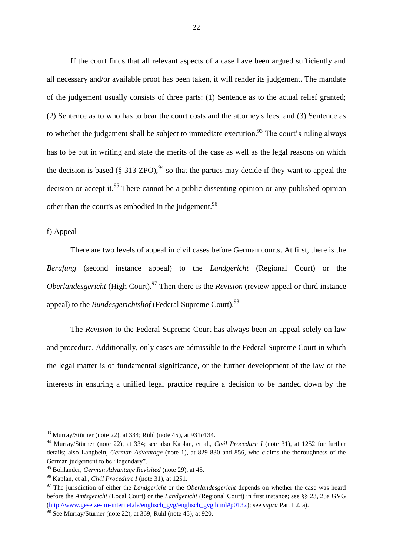If the court finds that all relevant aspects of a case have been argued sufficiently and all necessary and/or available proof has been taken, it will render its judgement. The mandate of the judgement usually consists of three parts: (1) Sentence as to the actual relief granted; (2) Sentence as to who has to bear the court costs and the attorney's fees, and (3) Sentence as to whether the judgement shall be subject to immediate execution.<sup>93</sup> The court's ruling always has to be put in writing and state the merits of the case as well as the legal reasons on which the decision is based (§ 313 ZPO), <sup>94</sup> so that the parties may decide if they want to appeal the decision or accept it.<sup>95</sup> There cannot be a public dissenting opinion or any published opinion other than the court's as embodied in the judgement.<sup>96</sup>

<span id="page-22-0"></span>f) Appeal

1

There are two levels of appeal in civil cases before German courts. At first, there is the *Berufung* (second instance appeal) to the *Landgericht* (Regional Court) or the *Oberlandesgericht* (High Court).<sup>97</sup> Then there is the *Revision* (review appeal or third instance appeal) to the *Bundesgerichtshof* (Federal Supreme Court).<sup>98</sup>

The *Revision* to the Federal Supreme Court has always been an appeal solely on law and procedure. Additionally, only cases are admissible to the Federal Supreme Court in which the legal matter is of fundamental significance, or the further development of the law or the interests in ensuring a unified legal practice require a decision to be handed down by the

<sup>93</sup> Murray/Stürner (note 22), at 334; Rühl (note 45), at 931*n*134.

<sup>94</sup> Murray/Stürner (note 22), at 334; see also Kaplan, et al., *Civil Procedure I* (note 31), at 1252 for further details; also Langbein, *German Advantage* (note 1), at 829-830 and 856, who claims the thoroughness of the German judgement to be "legendary".

<sup>95</sup> Bohlander, *German Advantage Revisited* (note 29), at 45.

<sup>96</sup> Kaplan, et al., *Civil Procedure I* (note 31), at 1251.

<sup>&</sup>lt;sup>97</sup> The jurisdiction of either the *Landgericht* or the *Oberlandesgericht* depends on whether the case was heard before the *Amtsgericht* (Local Court) or the *Landgericht* (Regional Court) in first instance; see §§ 23, 23a GVG [\(http://www.gesetze-im-internet.de/englisch\\_gvg/englisch\\_gvg.html#p0132\)](http://www.gesetze-im-internet.de/englisch_gvg/englisch_gvg.html#p0132); see *supra* Part I 2. a).

 $98$  See Murray/Stürner (note 22), at 369; Rühl (note 45), at 920.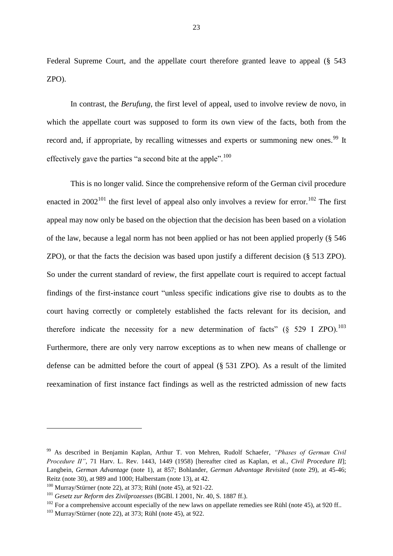Federal Supreme Court, and the appellate court therefore granted leave to appeal (§ 543 ZPO).

In contrast, the *Berufung*, the first level of appeal, used to involve review de novo, in which the appellate court was supposed to form its own view of the facts, both from the record and, if appropriate, by recalling witnesses and experts or summoning new ones.<sup>99</sup> It effectively gave the parties "a second bite at the apple". $100$ 

This is no longer valid. Since the comprehensive reform of the German civil procedure enacted in  $2002^{101}$  the first level of appeal also only involves a review for error.<sup>102</sup> The first appeal may now only be based on the objection that the decision has been based on a violation of the law, because a legal norm has not been applied or has not been applied properly (§ 546 ZPO), or that the facts the decision was based upon justify a different decision (§ 513 ZPO). So under the current standard of review, the first appellate court is required to accept factual findings of the first-instance court "unless specific indications give rise to doubts as to the court having correctly or completely established the facts relevant for its decision, and therefore indicate the necessity for a new determination of facts" ( $\delta$  529 I ZPO).<sup>103</sup> Furthermore, there are only very narrow exceptions as to when new means of challenge or defense can be admitted before the court of appeal (§ 531 ZPO). As a result of the limited reexamination of first instance fact findings as well as the restricted admission of new facts

<sup>99</sup> As described in Benjamin Kaplan, Arthur T. von Mehren, Rudolf Schaefer, *"Phases of German Civil Procedure II"*, 71 Harv. L. Rev. 1443, 1449 (1958) [hereafter cited as Kaplan, et al., *Civil Procedure II*]; Langbein, *German Advantage* (note 1), at 857; Bohlander, *German Advantage Revisited* (note 29), at 45-46; Reitz (note 30), at 989 and 1000; Halberstam (note 13), at 42.

 $100$  Murray/Stürner (note 22), at 373; Rühl (note 45), at 921-22.

<sup>101</sup> *Gesetz zur Reform des Zivilprozesses* (BGBl. I 2001, Nr. 40, S. 1887 ff.).

<sup>&</sup>lt;sup>102</sup> For a comprehensive account especially of the new laws on appellate remedies see Rühl (note 45), at 920 ff..

 $103$  Murray/Stürner (note 22), at 373; Rühl (note 45), at 922.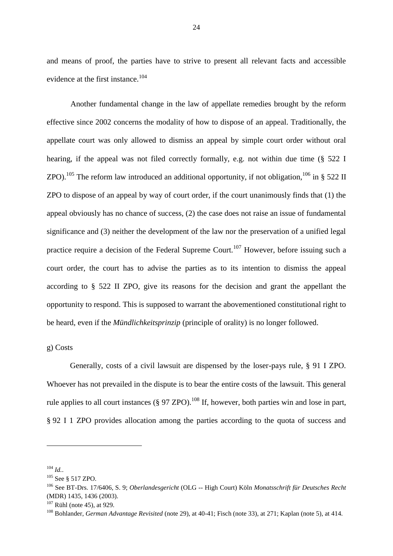and means of proof, the parties have to strive to present all relevant facts and accessible evidence at the first instance.<sup>104</sup>

Another fundamental change in the law of appellate remedies brought by the reform effective since 2002 concerns the modality of how to dispose of an appeal. Traditionally, the appellate court was only allowed to dismiss an appeal by simple court order without oral hearing, if the appeal was not filed correctly formally, e.g. not within due time (§ 522 I ZPO).<sup>105</sup> The reform law introduced an additional opportunity, if not obligation,<sup>106</sup> in § 522 II ZPO to dispose of an appeal by way of court order, if the court unanimously finds that (1) the appeal obviously has no chance of success, (2) the case does not raise an issue of fundamental significance and (3) neither the development of the law nor the preservation of a unified legal practice require a decision of the Federal Supreme Court.<sup>107</sup> However, before issuing such a court order, the court has to advise the parties as to its intention to dismiss the appeal according to § 522 II ZPO, give its reasons for the decision and grant the appellant the opportunity to respond. This is supposed to warrant the abovementioned constitutional right to be heard, even if the *Mündlichkeitsprinzip* (principle of orality) is no longer followed.

#### <span id="page-24-0"></span>g) Costs

Generally, costs of a civil lawsuit are dispensed by the loser-pays rule, § 91 I ZPO. Whoever has not prevailed in the dispute is to bear the entire costs of the lawsuit. This general rule applies to all court instances ( $\S 97$  ZPO).<sup>108</sup> If, however, both parties win and lose in part, § 92 I 1 ZPO provides allocation among the parties according to the quota of success and

<sup>104</sup> *Id.*.

<sup>105</sup> See § 517 ZPO.

<sup>106</sup> See BT-Drs. 17/6406, S. 9; *Oberlandesgericht* (OLG -- High Court) Köln *Monatsschrift für Deutsches Recht* (MDR) 1435, 1436 (2003).

 $107$  Rühl (note 45), at 929.

<sup>108</sup> Bohlander, *German Advantage Revisited* (note 29), at 40-41; Fisch (note 33), at 271; Kaplan (note 5), at 414.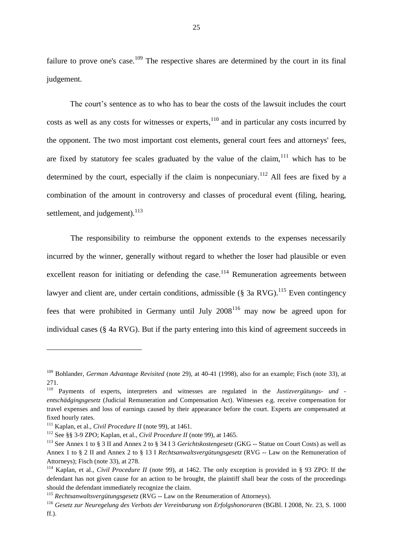failure to prove one's case.<sup>109</sup> The respective shares are determined by the court in its final judgement.

The court's sentence as to who has to bear the costs of the lawsuit includes the court costs as well as any costs for witnesses or experts, $110$  and in particular any costs incurred by the opponent. The two most important cost elements, general court fees and attorneys' fees, are fixed by statutory fee scales graduated by the value of the claim,  $111$  which has to be determined by the court, especially if the claim is nonpecuniary.<sup>112</sup> All fees are fixed by a combination of the amount in controversy and classes of procedural event (filing, hearing, settlement, and judgement). $^{113}$ 

The responsibility to reimburse the opponent extends to the expenses necessarily incurred by the winner, generally without regard to whether the loser had plausible or even excellent reason for initiating or defending the case.<sup>114</sup> Remuneration agreements between lawyer and client are, under certain conditions, admissible (§ 3a RVG). <sup>115</sup> Even contingency fees that were prohibited in Germany until July  $2008^{116}$  may now be agreed upon for individual cases (§ 4a RVG). But if the party entering into this kind of agreement succeeds in

 $\overline{a}$ 

<sup>109</sup> Bohlander, *German Advantage Revisited* (note 29), at 40-41 (1998), also for an example; Fisch (note 33), at 271.

<sup>110</sup> Payments of experts, interpreters and witnesses are regulated in the *Justizvergütungs- und entschädgingsgesetz* (Judicial Remuneration and Compensation Act). Witnesses e.g. receive compensation for travel expenses and loss of earnings caused by their appearance before the court. Experts are compensated at fixed hourly rates.

<sup>111</sup> Kaplan, et al., *Civil Procedure II* (note 99), at 1461.

<sup>112</sup> See §§ 3-9 ZPO; Kaplan, et al., *Civil Procedure II* (note 99), at 1465.

<sup>113</sup> See Annex 1 to § 3 II and Annex 2 to § 34 I 3 *Gerichtskostengesetz* (GKG -- Statue on Court Costs) as well as Annex 1 to § 2 II and Annex 2 to § 13 I *Rechtsanwaltsvergütungsgesetz* (RVG -- Law on the Remuneration of Attorneys); Fisch (note 33), at 278.

<sup>114</sup> Kaplan, et al., *Civil Procedure II* (note 99), at 1462. The only exception is provided in § 93 ZPO: If the defendant has not given cause for an action to be brought, the plaintiff shall bear the costs of the proceedings should the defendant immediately recognize the claim.

<sup>115</sup> *Rechtsanwaltsvergütungsgesetz* (RVG -- Law on the Renumeration of Attorneys).

<sup>116</sup> *Gesetz zur Neuregelung des Verbots der Vereinbarung von Erfolgshonoraren* (BGBl. I 2008, Nr. 23, S. 1000 ff.).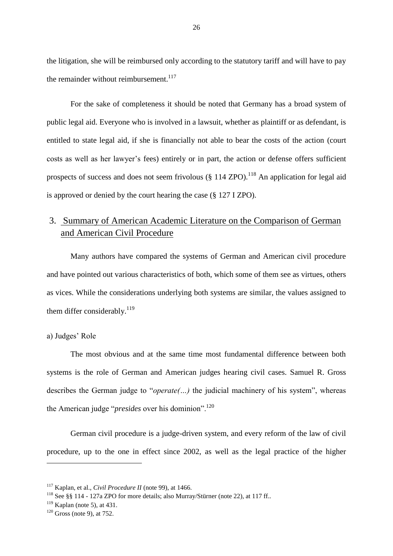the litigation, she will be reimbursed only according to the statutory tariff and will have to pay the remainder without reimbursement. $117$ 

For the sake of completeness it should be noted that Germany has a broad system of public legal aid. Everyone who is involved in a lawsuit, whether as plaintiff or as defendant, is entitled to state legal aid, if she is financially not able to bear the costs of the action (court costs as well as her lawyer's fees) entirely or in part, the action or defense offers sufficient prospects of success and does not seem frivolous ( $\S$  114 ZPO).<sup>118</sup> An application for legal aid is approved or denied by the court hearing the case (§ 127 I ZPO).

## <span id="page-26-0"></span>3. Summary of American Academic Literature on the Comparison of German and American Civil Procedure

Many authors have compared the systems of German and American civil procedure and have pointed out various characteristics of both, which some of them see as virtues, others as vices. While the considerations underlying both systems are similar, the values assigned to them differ considerably.<sup>119</sup>

#### <span id="page-26-1"></span>a) Judges' Role

The most obvious and at the same time most fundamental difference between both systems is the role of German and American judges hearing civil cases. Samuel R. Gross describes the German judge to "*operate(…)* the judicial machinery of his system", whereas the American judge "*presides* over his dominion".<sup>120</sup>

German civil procedure is a judge-driven system, and every reform of the law of civil procedure, up to the one in effect since 2002, as well as the legal practice of the higher

<sup>117</sup> Kaplan, et al., *Civil Procedure II* (note 99), at 1466.

<sup>&</sup>lt;sup>118</sup> See §§ 114 - 127a ZPO for more details; also Murray/Stürner (note 22), at 117 ff..

 $119$  Kaplan (note 5), at 431.

 $120$  Gross (note 9), at 752.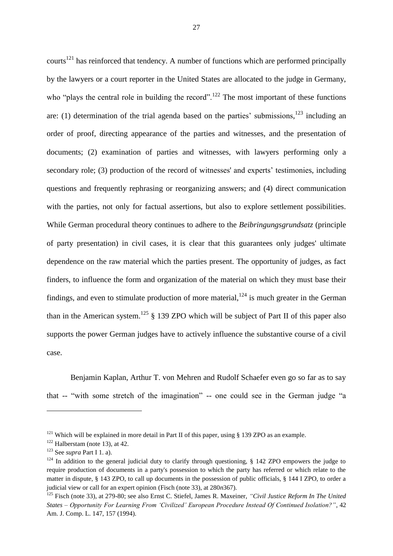courts<sup>121</sup> has reinforced that tendency. A number of functions which are performed principally by the lawyers or a court reporter in the United States are allocated to the judge in Germany, who "plays the central role in building the record".<sup>122</sup> The most important of these functions are: (1) determination of the trial agenda based on the parties' submissions,  $123$  including an order of proof, directing appearance of the parties and witnesses, and the presentation of documents; (2) examination of parties and witnesses, with lawyers performing only a secondary role; (3) production of the record of witnesses' and experts' testimonies, including questions and frequently rephrasing or reorganizing answers; and (4) direct communication with the parties, not only for factual assertions, but also to explore settlement possibilities. While German procedural theory continues to adhere to the *Beibringungsgrundsatz* (principle of party presentation) in civil cases, it is clear that this guarantees only judges' ultimate dependence on the raw material which the parties present. The opportunity of judges, as fact finders, to influence the form and organization of the material on which they must base their findings, and even to stimulate production of more material,  $124$  is much greater in the German than in the American system.<sup>125</sup>  $\S$  139 ZPO which will be subject of Part II of this paper also supports the power German judges have to actively influence the substantive course of a civil case.

Benjamin Kaplan, Arthur T. von Mehren and Rudolf Schaefer even go so far as to say that -- "with some stretch of the imagination" -- one could see in the German judge "a

<sup>&</sup>lt;sup>121</sup> Which will be explained in more detail in Part II of this paper, using  $\S$  139 ZPO as an example.

 $122$  Halberstam (note 13), at 42.

<sup>123</sup> See *supra* Part I 1. a).

 $124$  In addition to the general judicial duty to clarify through questioning, § 142 ZPO empowers the judge to require production of documents in a party's possession to which the party has referred or which relate to the matter in dispute, § 143 ZPO, to call up documents in the possession of public officials, § 144 I ZPO, to order a judicial view or call for an expert opinion (Fisch (note 33), at 280*n*367).

<sup>125</sup> Fisch (note 33), at 279-80; see also Ernst C. Stiefel, James R. Maxeiner, *"Civil Justice Reform In The United States – Opportunity For Learning From 'Civilized' European Procedure Instead Of Continued Isolation?"*, 42 Am. J. Comp. L. 147, 157 (1994).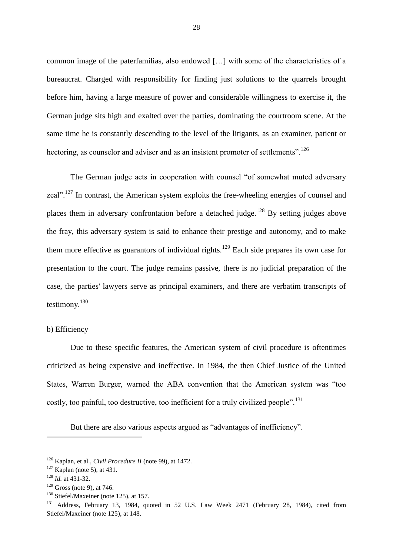common image of the paterfamilias, also endowed […] with some of the characteristics of a bureaucrat. Charged with responsibility for finding just solutions to the quarrels brought before him, having a large measure of power and considerable willingness to exercise it, the German judge sits high and exalted over the parties, dominating the courtroom scene. At the same time he is constantly descending to the level of the litigants, as an examiner, patient or hectoring, as counselor and adviser and as an insistent promoter of settlements".<sup>126</sup>

The German judge acts in cooperation with counsel "of somewhat muted adversary zeal".<sup>127</sup> In contrast, the American system exploits the free-wheeling energies of counsel and places them in adversary confrontation before a detached judge.<sup>128</sup> By setting judges above the fray, this adversary system is said to enhance their prestige and autonomy, and to make them more effective as guarantors of individual rights.<sup>129</sup> Each side prepares its own case for presentation to the court. The judge remains passive, there is no judicial preparation of the case, the parties' lawyers serve as principal examiners, and there are verbatim transcripts of testimony.<sup>130</sup>

#### <span id="page-28-0"></span>b) Efficiency

Due to these specific features, the American system of civil procedure is oftentimes criticized as being expensive and ineffective. In 1984, the then Chief Justice of the United States, Warren Burger, warned the ABA convention that the American system was "too costly, too painful, too destructive, too inefficient for a truly civilized people".<sup>131</sup>

But there are also various aspects argued as "advantages of inefficiency".

1

<sup>130</sup> Stiefel/Maxeiner (note 125), at 157.

<sup>126</sup> Kaplan, et al., *Civil Procedure II* (note 99), at 1472.

 $127$  Kaplan (note 5), at 431.

<sup>128</sup> *Id.* at 431-32.

 $129$  Gross (note 9), at 746.

<sup>&</sup>lt;sup>131</sup> Address, February 13, 1984, quoted in 52 U.S. Law Week 2471 (February 28, 1984), cited from Stiefel/Maxeiner (note 125), at 148.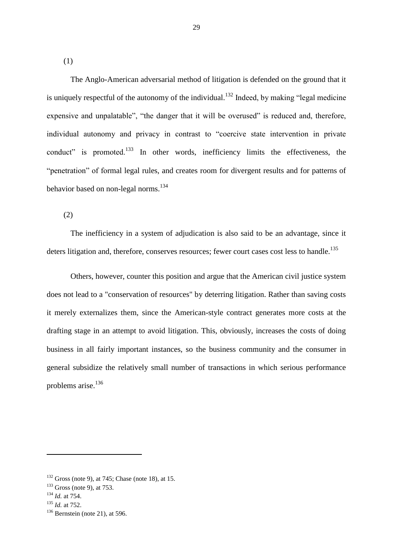(1)

The Anglo-American adversarial method of litigation is defended on the ground that it is uniquely respectful of the autonomy of the individual.<sup>132</sup> Indeed, by making "legal medicine" expensive and unpalatable", "the danger that it will be overused" is reduced and, therefore, individual autonomy and privacy in contrast to "coercive state intervention in private conduct" is promoted.<sup>133</sup> In other words, inefficiency limits the effectiveness, the "penetration" of formal legal rules, and creates room for divergent results and for patterns of behavior based on non-legal norms.<sup>134</sup>

(2)

The inefficiency in a system of adjudication is also said to be an advantage, since it deters litigation and, therefore, conserves resources; fewer court cases cost less to handle.<sup>135</sup>

Others, however, counter this position and argue that the American civil justice system does not lead to a "conservation of resources" by deterring litigation. Rather than saving costs it merely externalizes them, since the American-style contract generates more costs at the drafting stage in an attempt to avoid litigation. This, obviously, increases the costs of doing business in all fairly important instances, so the business community and the consumer in general subsidize the relatively small number of transactions in which serious performance problems arise. $136$ 

 $132$  Gross (note 9), at 745; Chase (note 18), at 15.

 $133$  Gross (note 9), at 753.

<sup>134</sup> *Id.* at 754.

<sup>135</sup> *Id.* at 752.

 $136$  Bernstein (note 21), at 596.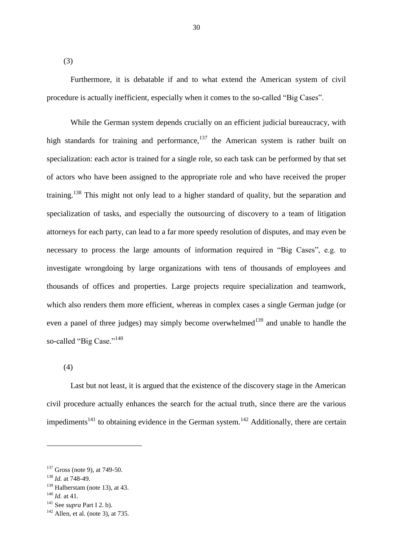(3)

Furthermore, it is debatable if and to what extend the American system of civil procedure is actually inefficient, especially when it comes to the so-called "Big Cases".

While the German system depends crucially on an efficient judicial bureaucracy, with high standards for training and performance,<sup>137</sup> the American system is rather built on specialization: each actor is trained for a single role, so each task can be performed by that set of actors who have been assigned to the appropriate role and who have received the proper training.<sup>138</sup> This might not only lead to a higher standard of quality, but the separation and specialization of tasks, and especially the outsourcing of discovery to a team of litigation attorneys for each party, can lead to a far more speedy resolution of disputes, and may even be necessary to process the large amounts of information required in "Big Cases", e.g. to investigate wrongdoing by large organizations with tens of thousands of employees and thousands of offices and properties. Large projects require specialization and teamwork, which also renders them more efficient, whereas in complex cases a single German judge (or even a panel of three judges) may simply become overwhelmed<sup>139</sup> and unable to handle the so-called "Big Case."<sup>140</sup>

(4)

Last but not least, it is argued that the existence of the discovery stage in the American civil procedure actually enhances the search for the actual truth, since there are the various impediments<sup>141</sup> to obtaining evidence in the German system.<sup>142</sup> Additionally, there are certain

 $137$  Gross (note 9), at 749-50.

<sup>138</sup> *Id.* at 748-49.

 $139$  Halberstam (note 13), at 43.

<sup>140</sup> *Id.* at 41.

<sup>141</sup> See *supra* Part I 2. b).

 $142$  Allen, et al. (note 3), at 735.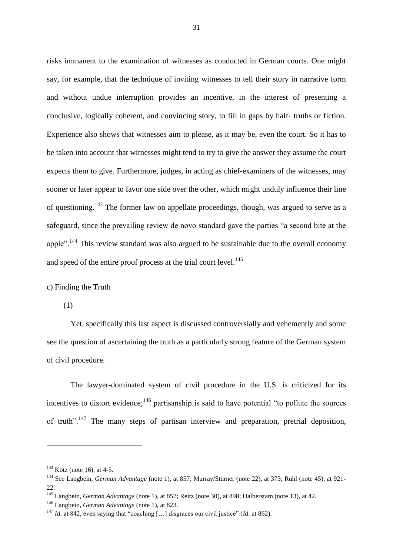risks immanent to the examination of witnesses as conducted in German courts. One might say, for example, that the technique of inviting witnesses to tell their story in narrative form and without undue interruption provides an incentive, in the interest of presenting a conclusive, logically coherent, and convincing story, to fill in gaps by half‐ truths or fiction. Experience also shows that witnesses aim to please, as it may be, even the court. So it has to be taken into account that witnesses might tend to try to give the answer they assume the court expects them to give. Furthermore, judges, in acting as chief‐examiners of the witnesses, may sooner or later appear to favor one side over the other, which might unduly influence their line of questioning.<sup>143</sup> The former law on appellate proceedings, though, was argued to serve as a safeguard, since the prevailing review de novo standard gave the parties "a second bite at the apple".<sup>144</sup> This review standard was also argued to be sustainable due to the overall economy and speed of the entire proof process at the trial court level.<sup>145</sup>

#### <span id="page-31-0"></span>c) Finding the Truth

(1)

Yet, specifically this last aspect is discussed controversially and vehemently and some see the question of ascertaining the truth as a particularly strong feature of the German system of civil procedure.

The lawyer-dominated system of civil procedure in the U.S. is criticized for its incentives to distort evidence;<sup>146</sup> partisanship is said to have potential "to pollute the sources of truth".<sup>147</sup> The many steps of partisan interview and preparation, pretrial deposition,

 $143$  Kötz (note 16), at 4-5.

<sup>144</sup> See Langbein, *German Advantage* (note 1), at 857; Murray/Stürner (note 22), at 373; Rühl (note 45), at 921- 22.

<sup>145</sup> Langbein, *German Advantage* (note 1), at 857; Reitz (note 30), at 898; Halberstam (note 13), at 42.

<sup>146</sup> Langbein, *German Advantage* (note 1), at 823.

<sup>147</sup> *Id.* at 842, even saying that "coaching […] disgraces our civil justice" (*Id.* at 862).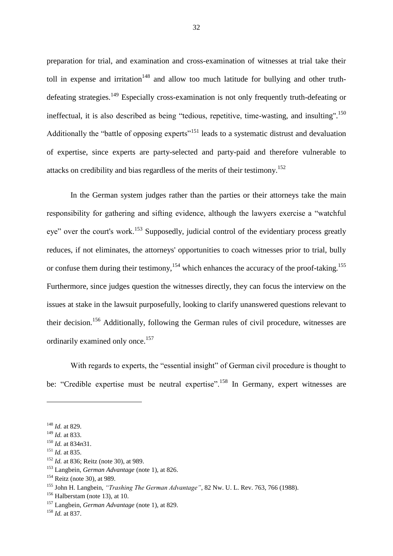preparation for trial, and examination and cross-examination of witnesses at trial take their toll in expense and irritation<sup>148</sup> and allow too much latitude for bullying and other truthdefeating strategies.<sup>149</sup> Especially cross-examination is not only frequently truth-defeating or ineffectual, it is also described as being "tedious, repetitive, time-wasting, and insulting".<sup>150</sup> Additionally the "battle of opposing experts"<sup>151</sup> leads to a systematic distrust and devaluation of expertise, since experts are party-selected and party-paid and therefore vulnerable to attacks on credibility and bias regardless of the merits of their testimony.<sup>152</sup>

In the German system judges rather than the parties or their attorneys take the main responsibility for gathering and sifting evidence, although the lawyers exercise a "watchful eye" over the court's work.<sup>153</sup> Supposedly, judicial control of the evidentiary process greatly reduces, if not eliminates, the attorneys' opportunities to coach witnesses prior to trial, bully or confuse them during their testimony,<sup>154</sup> which enhances the accuracy of the proof-taking.<sup>155</sup> Furthermore, since judges question the witnesses directly, they can focus the interview on the issues at stake in the lawsuit purposefully, looking to clarify unanswered questions relevant to their decision.<sup>156</sup> Additionally, following the German rules of civil procedure, witnesses are ordinarily examined only once.<sup>157</sup>

With regards to experts, the "essential insight" of German civil procedure is thought to be: "Credible expertise must be neutral expertise".<sup>158</sup> In Germany, expert witnesses are

<sup>148</sup> *Id.* at 829.

<sup>149</sup> *Id.* at 833.

<sup>150</sup> *Id.* at 834*n*31.

<sup>151</sup> *Id.* at 835.

<sup>152</sup> *Id.* at 836; Reitz (note 30), at 989.

<sup>153</sup> Langbein, *German Advantage* (note 1), at 826.

<sup>154</sup> Reitz (note 30), at 989.

<sup>155</sup> John H. Langbein, *"Trashing The German Advantage"*, 82 Nw. U. L. Rev. 763, 766 (1988).

 $156$  Halberstam (note 13), at 10.

<sup>157</sup> Langbein, *German Advantage* (note 1), at 829.

<sup>158</sup> *Id.* at 837.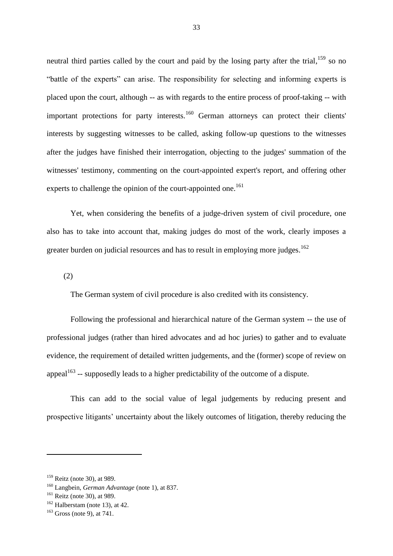neutral third parties called by the court and paid by the losing party after the trial,  $159$  so no "battle of the experts" can arise. The responsibility for selecting and informing experts is placed upon the court, although -- as with regards to the entire process of proof-taking -- with important protections for party interests.<sup>160</sup> German attorneys can protect their clients' interests by suggesting witnesses to be called, asking follow-up questions to the witnesses after the judges have finished their interrogation, objecting to the judges' summation of the witnesses' testimony, commenting on the court-appointed expert's report, and offering other experts to challenge the opinion of the court-appointed one.<sup>161</sup>

Yet, when considering the benefits of a judge-driven system of civil procedure, one also has to take into account that, making judges do most of the work, clearly imposes a greater burden on judicial resources and has to result in employing more judges.<sup>162</sup>

(2)

The German system of civil procedure is also credited with its consistency.

Following the professional and hierarchical nature of the German system -- the use of professional judges (rather than hired advocates and ad hoc juries) to gather and to evaluate evidence, the requirement of detailed written judgements, and the (former) scope of review on appeal<sup>163</sup> -- supposedly leads to a higher predictability of the outcome of a dispute.

This can add to the social value of legal judgements by reducing present and prospective litigants' uncertainty about the likely outcomes of litigation, thereby reducing the

<sup>159</sup> Reitz (note 30), at 989.

<sup>160</sup> Langbein, *German Advantage* (note 1), at 837.

 $161$  Reitz (note 30), at 989.

 $162$  Halberstam (note 13), at 42.

 $163$  Gross (note 9), at 741.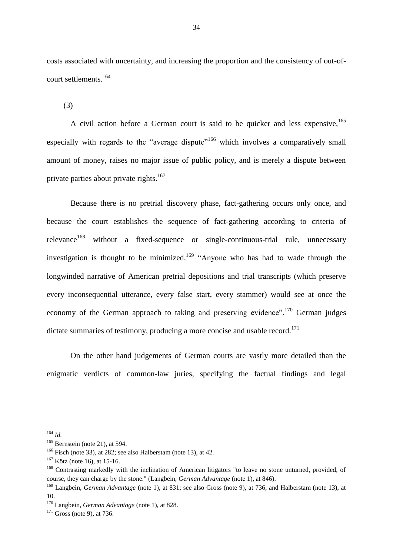costs associated with uncertainty, and increasing the proportion and the consistency of out-ofcourt settlements.<sup>164</sup>

(3)

A civil action before a German court is said to be quicker and less expensive, <sup>165</sup> especially with regards to the "average dispute"<sup>166</sup> which involves a comparatively small amount of money, raises no major issue of public policy, and is merely a dispute between private parties about private rights.<sup>167</sup>

Because there is no pretrial discovery phase, fact-gathering occurs only once, and because the court establishes the sequence of fact-gathering according to criteria of relevance<sup>168</sup> without a fixed-sequence or single-continuous-trial rule, unnecessary investigation is thought to be minimized.<sup>169</sup> "Anyone who has had to wade through the longwinded narrative of American pretrial depositions and trial transcripts (which preserve every inconsequential utterance, every false start, every stammer) would see at once the economy of the German approach to taking and preserving evidence".<sup>170</sup> German judges dictate summaries of testimony, producing a more concise and usable record.<sup>171</sup>

On the other hand judgements of German courts are vastly more detailed than the enigmatic verdicts of common-law juries, specifying the factual findings and legal

<sup>164</sup> *Id.*

 $165$  Bernstein (note 21), at 594.

<sup>166</sup> Fisch (note 33), at 282; see also Halberstam (note 13), at 42.

 $167$  Kötz (note 16), at 15-16.

<sup>&</sup>lt;sup>168</sup> Contrasting markedly with the inclination of American litigators "to leave no stone unturned, provided, of course, they can charge by the stone." (Langbein, *German Advantage* (note 1), at 846).

<sup>&</sup>lt;sup>169</sup> Langbein, *German Advantage* (note 1), at 831; see also Gross (note 9), at 736, and Halberstam (note 13), at 10.

<sup>170</sup> Langbein, *German Advantage* (note 1), at 828.

 $171$  Gross (note 9), at 736.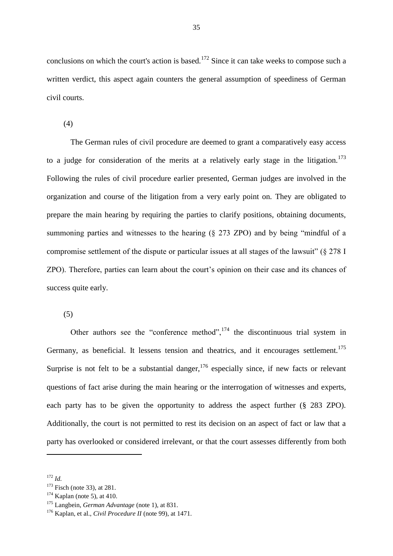conclusions on which the court's action is based.<sup>172</sup> Since it can take weeks to compose such a written verdict, this aspect again counters the general assumption of speediness of German civil courts.

(4)

The German rules of civil procedure are deemed to grant a comparatively easy access to a judge for consideration of the merits at a relatively early stage in the litigation.<sup>173</sup> Following the rules of civil procedure earlier presented, German judges are involved in the organization and course of the litigation from a very early point on. They are obligated to prepare the main hearing by requiring the parties to clarify positions, obtaining documents, summoning parties and witnesses to the hearing (§ 273 ZPO) and by being "mindful of a compromise settlement of the dispute or particular issues at all stages of the lawsuit" (§ 278 I ZPO). Therefore, parties can learn about the court's opinion on their case and its chances of success quite early.

(5)

Other authors see the "conference method", $174$  the discontinuous trial system in Germany, as beneficial. It lessens tension and theatrics, and it encourages settlement.<sup>175</sup> Surprise is not felt to be a substantial danger,  $176$  especially since, if new facts or relevant questions of fact arise during the main hearing or the interrogation of witnesses and experts, each party has to be given the opportunity to address the aspect further (§ 283 ZPO). Additionally, the court is not permitted to rest its decision on an aspect of fact or law that a party has overlooked or considered irrelevant, or that the court assesses differently from both

<sup>172</sup> *Id.*

<sup>&</sup>lt;sup>173</sup> Fisch (note 33), at 281.

 $174$  Kaplan (note 5), at 410.

<sup>175</sup> Langbein, *German Advantage* (note 1), at 831.

<sup>176</sup> Kaplan, et al., *Civil Procedure II* (note 99), at 1471.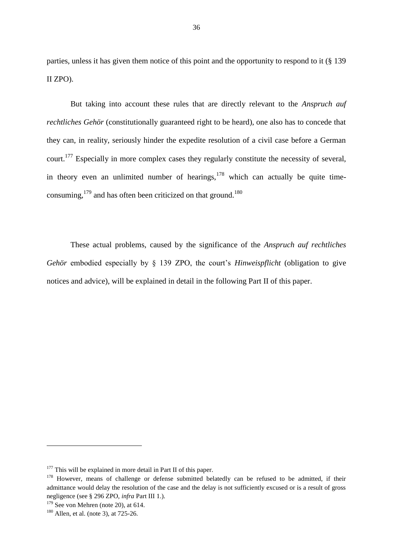parties, unless it has given them notice of this point and the opportunity to respond to it (§ 139 II ZPO).

But taking into account these rules that are directly relevant to the *Anspruch auf rechtliches Gehör* (constitutionally guaranteed right to be heard), one also has to concede that they can, in reality, seriously hinder the expedite resolution of a civil case before a German court.<sup>177</sup> Especially in more complex cases they regularly constitute the necessity of several, in theory even an unlimited number of hearings,  $178$  which can actually be quite timeconsuming,  $^{179}$  and has often been criticized on that ground.<sup>180</sup>

These actual problems, caused by the significance of the *Anspruch auf rechtliches Gehör* embodied especially by § 139 ZPO, the court's *Hinweispflicht* (obligation to give notices and advice), will be explained in detail in the following Part II of this paper.

 $177$  This will be explained in more detail in Part II of this paper.

<sup>&</sup>lt;sup>178</sup> However, means of challenge or defense submitted belatedly can be refused to be admitted, if their admittance would delay the resolution of the case and the delay is not sufficiently excused or is a result of gross negligence (see § 296 ZPO, *infra* Part III 1.).

 $179$  See von Mehren (note 20), at 614.

<sup>&</sup>lt;sup>180</sup> Allen, et al. (note 3), at 725-26.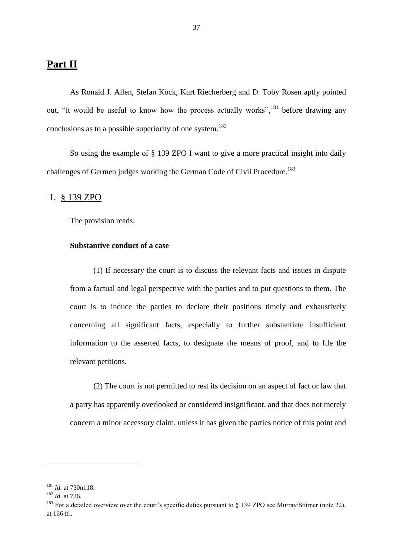# **Part II**

As Ronald J. Allen, Stefan Köck, Kurt Riecherberg and D. Toby Rosen aptly pointed out, "it would be useful to know how the process actually works",<sup>181</sup> before drawing any conclusions as to a possible superiority of one system.<sup>182</sup>

So using the example of § 139 ZPO I want to give a more practical insight into daily challenges of Germen judges working the German Code of Civil Procedure.<sup>183</sup>

## 1. § 139 ZPO

The provision reads:

## **Substantive conduct of a case**

(1) If necessary the court is to discuss the relevant facts and issues in dispute from a factual and legal perspective with the parties and to put questions to them. The court is to induce the parties to declare their positions timely and exhaustively concerning all significant facts, especially to further substantiate insufficient information to the asserted facts, to designate the means of proof, and to file the relevant petitions.

(2) The court is not permitted to rest its decision on an aspect of fact or law that a party has apparently overlooked or considered insignificant, and that does not merely concern a minor accessory claim, unless it has given the parties notice of this point and

<sup>181</sup> *Id.* at 730n118.

<sup>182</sup> *Id.* at 726.

<sup>&</sup>lt;sup>183</sup> For a detailed overview over the court's specific duties pursuant to § 139 ZPO see Murray/Stürner (note 22), at 166 ff..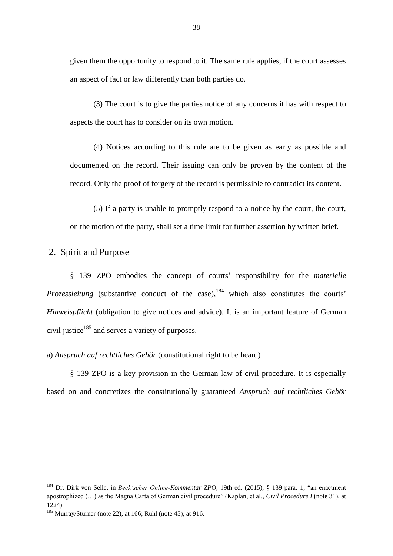given them the opportunity to respond to it. The same rule applies, if the court assesses an aspect of fact or law differently than both parties do.

(3) The court is to give the parties notice of any concerns it has with respect to aspects the court has to consider on its own motion.

(4) Notices according to this rule are to be given as early as possible and documented on the record. Their issuing can only be proven by the content of the record. Only the proof of forgery of the record is permissible to contradict its content.

(5) If a party is unable to promptly respond to a notice by the court, the court, on the motion of the party, shall set a time limit for further assertion by written brief.

## 2. Spirit and Purpose

1

§ 139 ZPO embodies the concept of courts' responsibility for the *materielle Prozessleitung* (substantive conduct of the case), <sup>184</sup> which also constitutes the courts' *Hinweispflicht* (obligation to give notices and advice). It is an important feature of German civil justice $185$  and serves a variety of purposes.

a) *Anspruch auf rechtliches Gehör* (constitutional right to be heard)

§ 139 ZPO is a key provision in the German law of civil procedure. It is especially based on and concretizes the constitutionally guaranteed *Anspruch auf rechtliches Gehör*

<sup>184</sup> Dr. Dirk von Selle, in *Beck'scher Online-Kommentar ZPO*, 19th ed. (2015), § 139 para. 1; "an enactment apostrophized (…) as the Magna Carta of German civil procedure" (Kaplan, et al., *Civil Procedure I* (note 31), at 1224).

<sup>185</sup> Murray/Stürner (note 22), at 166; Rühl (note 45), at 916.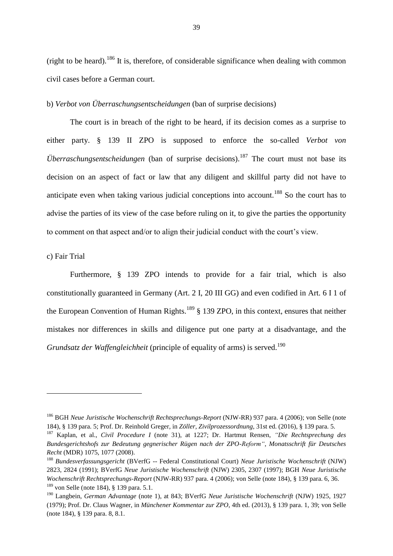(right to be heard).<sup>186</sup> It is, therefore, of considerable significance when dealing with common civil cases before a German court.

b) *Verbot von Überraschungsentscheidungen* (ban of surprise decisions)

The court is in breach of the right to be heard, if its decision comes as a surprise to either party. § 139 II ZPO is supposed to enforce the so-called *Verbot von Überraschungsentscheidungen* (ban of surprise decisions).<sup>187</sup> The court must not base its decision on an aspect of fact or law that any diligent and skillful party did not have to anticipate even when taking various judicial conceptions into account.<sup>188</sup> So the court has to advise the parties of its view of the case before ruling on it, to give the parties the opportunity to comment on that aspect and/or to align their judicial conduct with the court's view.

c) Fair Trial

**.** 

Furthermore, § 139 ZPO intends to provide for a fair trial, which is also constitutionally guaranteed in Germany (Art. 2 I, 20 III GG) and even codified in Art. 6 I 1 of the European Convention of Human Rights.<sup>189</sup> § 139 ZPO, in this context, ensures that neither mistakes nor differences in skills and diligence put one party at a disadvantage, and the *Grundsatz der Waffengleichheit* (principle of equality of arms) is served.<sup>190</sup>

<sup>186</sup> BGH *Neue Juristische Wochenschrift Rechtsprechungs-Report* (NJW-RR) 937 para. 4 (2006); von Selle (note 184), § 139 para. 5; Prof. Dr. Reinhold Greger, in *Zöller, Zivilprozessordnung*, 31st ed. (2016), § 139 para. 5.

<sup>187</sup> Kaplan, et al., *Civil Procedure I* (note 31), at 1227; Dr. Hartmut Rensen, *"Die Rechtsprechung des Bundesgerichtshofs zur Bedeutung gegnerischer Rügen nach der ZPO-Reform"*, *Monatsschrift für Deutsches Recht* (MDR) 1075, 1077 (2008).

<sup>188</sup> *Bundesverfassungsgericht* (BVerfG -- Federal Constitutional Court) *Neue Juristische Wochenschrift* (NJW) 2823, 2824 (1991); BVerfG *Neue Juristische Wochenschrift* (NJW) 2305, 2307 (1997); BGH *Neue Juristische Wochenschrift Rechtsprechungs-Report* (NJW-RR) 937 para. 4 (2006); von Selle (note 184), § 139 para. 6, 36.  $189$  von Selle (note 184), § 139 para. 5.1.

<sup>190</sup> Langbein, *German Advantage* (note 1), at 843; BVerfG *Neue Juristische Wochenschrift* (NJW) 1925, 1927 (1979); Prof. Dr. Claus Wagner, in *Münchener Kommentar zur ZPO*, 4th ed. (2013), § 139 para. 1, 39; von Selle (note 184), § 139 para. 8, 8.1.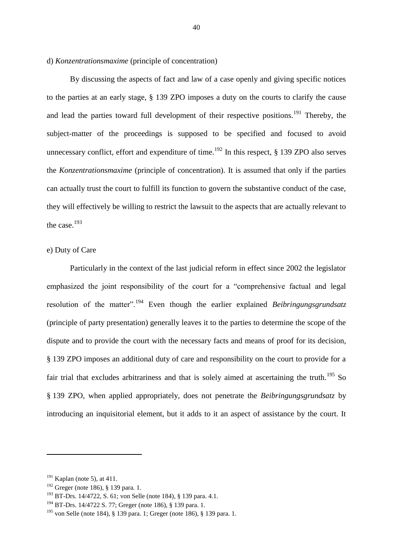d) *Konzentrationsmaxime* (principle of concentration)

By discussing the aspects of fact and law of a case openly and giving specific notices to the parties at an early stage, § 139 ZPO imposes a duty on the courts to clarify the cause and lead the parties toward full development of their respective positions.<sup>191</sup> Thereby, the subject-matter of the proceedings is supposed to be specified and focused to avoid unnecessary conflict, effort and expenditure of time.<sup>192</sup> In this respect,  $\S$  139 ZPO also serves the *Konzentrationsmaxime* (principle of concentration). It is assumed that only if the parties can actually trust the court to fulfill its function to govern the substantive conduct of the case, they will effectively be willing to restrict the lawsuit to the aspects that are actually relevant to the case.<sup>193</sup>

## e) Duty of Care

Particularly in the context of the last judicial reform in effect since 2002 the legislator emphasized the joint responsibility of the court for a "comprehensive factual and legal resolution of the matter".<sup>194</sup> Even though the earlier explained *Beibringungsgrundsatz* (principle of party presentation) generally leaves it to the parties to determine the scope of the dispute and to provide the court with the necessary facts and means of proof for its decision, § 139 ZPO imposes an additional duty of care and responsibility on the court to provide for a fair trial that excludes arbitrariness and that is solely aimed at ascertaining the truth.<sup>195</sup> So § 139 ZPO, when applied appropriately, does not penetrate the *Beibringungsgrundsatz* by introducing an inquisitorial element, but it adds to it an aspect of assistance by the court. It

 $191$  Kaplan (note 5), at 411.

 $192$  Greger (note 186), § 139 para. 1.

<sup>193</sup> BT-Drs. 14/4722, S. 61; von Selle (note 184), § 139 para. 4.1.

<sup>194</sup> BT-Drs. 14/4722 S. 77; Greger (note 186), § 139 para. 1.

<sup>195</sup> von Selle (note 184), § 139 para. 1; Greger (note 186), § 139 para. 1.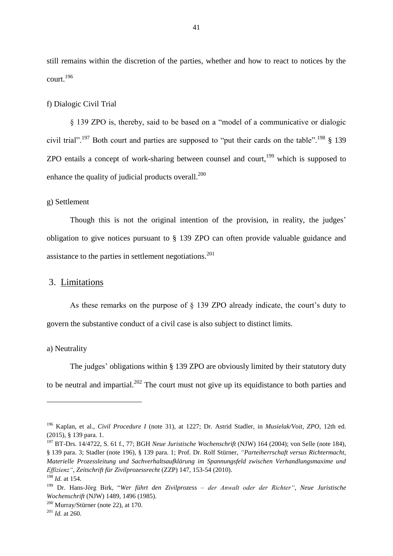still remains within the discretion of the parties, whether and how to react to notices by the court.<sup>196</sup>

#### f) Dialogic Civil Trial

§ 139 ZPO is, thereby, said to be based on a "model of a communicative or dialogic civil trial".<sup>197</sup> Both court and parties are supposed to "put their cards on the table".<sup>198</sup> § 139 ZPO entails a concept of work-sharing between counsel and court, <sup>199</sup> which is supposed to enhance the quality of judicial products overall.<sup>200</sup>

#### g) Settlement

Though this is not the original intention of the provision, in reality, the judges' obligation to give notices pursuant to § 139 ZPO can often provide valuable guidance and assistance to the parties in settlement negotiations.<sup>201</sup>

## 3. Limitations

As these remarks on the purpose of § 139 ZPO already indicate, the court's duty to govern the substantive conduct of a civil case is also subject to distinct limits.

### a) Neutrality

1

The judges' obligations within § 139 ZPO are obviously limited by their statutory duty to be neutral and impartial.<sup>202</sup> The court must not give up its equidistance to both parties and

<sup>196</sup> Kaplan, et al., *Civil Procedure I* (note 31), at 1227; Dr. Astrid Stadler, in *Musielak/Voit, ZPO*, 12th ed. (2015), § 139 para. 1.

<sup>197</sup> BT-Drs. 14/4722, S. 61 f., 77; BGH *Neue Juristische Wochenschrift* (NJW) 164 (2004); von Selle (note 184), § 139 para. 3; Stadler (note 196), § 139 para. 1; Prof. Dr. Rolf Stürner, *"Parteiherrschaft versus Richtermacht, Materielle Prozessleitung und Sachverhaltsaufklärung im Spannungsfeld zwischen Verhandlungsmaxime und Effizienz"*, *Zeitschrift für Zivilprozessrecht* (ZZP) 147, 153-54 (2010). <sup>198</sup> *Id.* at 154.

<sup>199</sup> Dr. Hans-Jörg Birk, "*Wer führt den Zivilprozess – der Anwalt oder der Richter"*, *Neue Juristische Wochenschrift* (NJW) 1489, 1496 (1985).

 $200$  Murray/Stürner (note 22), at 170.

<sup>201</sup> *Id.* at 260.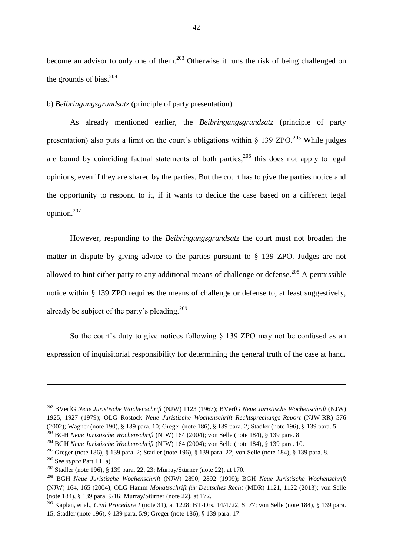become an advisor to only one of them.<sup>203</sup> Otherwise it runs the risk of being challenged on the grounds of bias. $204$ 

b) *Beibringungsgrundsatz* (principle of party presentation)

As already mentioned earlier, the *Beibringungsgrundsatz* (principle of party presentation) also puts a limit on the court's obligations within  $\frac{139 \text{ ZPO}}{205}$  While judges are bound by coinciding factual statements of both parties,  $206$  this does not apply to legal opinions, even if they are shared by the parties. But the court has to give the parties notice and the opportunity to respond to it, if it wants to decide the case based on a different legal opinion.<sup>207</sup>

However, responding to the *Beibringungsgrundsatz* the court must not broaden the matter in dispute by giving advice to the parties pursuant to § 139 ZPO. Judges are not allowed to hint either party to any additional means of challenge or defense.<sup>208</sup> A permissible notice within § 139 ZPO requires the means of challenge or defense to, at least suggestively, already be subject of the party's pleading.<sup>209</sup>

So the court's duty to give notices following § 139 ZPO may not be confused as an expression of inquisitorial responsibility for determining the general truth of the case at hand.

 $\overline{a}$ 

<sup>202</sup> BVerfG *Neue Juristische Wochenschrift* (NJW) 1123 (1967); BVerfG *Neue Juristische Wochenschrift* (NJW) 1925, 1927 (1979); OLG Rostock *Neue Juristische Wochenschrift Rechtsprechungs-Report* (NJW-RR) 576 (2002); Wagner (note 190), § 139 para. 10; Greger (note 186), § 139 para. 2; Stadler (note 196), § 139 para. 5.

<sup>203</sup> BGH *Neue Juristische Wochenschrift* (NJW) 164 (2004); von Selle (note 184), § 139 para. 8.

<sup>204</sup> BGH *Neue Juristische Wochenschrift* (NJW) 164 (2004); von Selle (note 184), § 139 para. 10.

<sup>205</sup> Greger (note 186), § 139 para. 2; Stadler (note 196), § 139 para. 22; von Selle (note 184), § 139 para. 8.

<sup>206</sup> See *supra* Part I 1. a).

<sup>&</sup>lt;sup>207</sup> Stadler (note 196), § 139 para. 22, 23; Murray/Stürner (note 22), at 170.

<sup>208</sup> BGH *Neue Juristische Wochenschrift* (NJW) 2890, 2892 (1999); BGH *Neue Juristische Wochenschrift* (NJW) 164, 165 (2004); OLG Hamm *Monatsschrift für Deutsches Recht* (MDR) 1121, 1122 (2013); von Selle (note 184), § 139 para. 9/16; Murray/Stürner (note 22), at 172.

<sup>209</sup> Kaplan, et al., *Civil Procedure I* (note 31), at 1228; BT-Drs. 14/4722, S. 77; von Selle (note 184), § 139 para. 15; Stadler (note 196), § 139 para. 5/9; Greger (note 186), § 139 para. 17.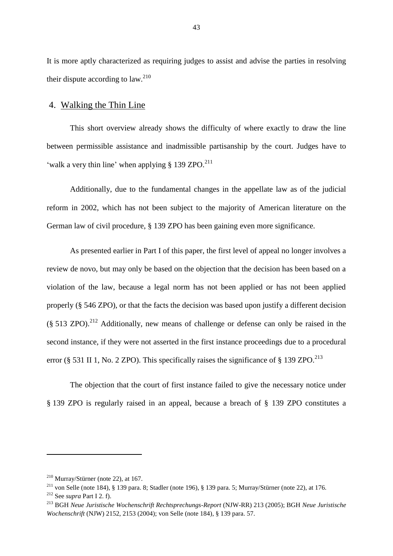It is more aptly characterized as requiring judges to assist and advise the parties in resolving their dispute according to  $\int$ aw.<sup>210</sup>

## 4. Walking the Thin Line

This short overview already shows the difficulty of where exactly to draw the line between permissible assistance and inadmissible partisanship by the court. Judges have to 'walk a very thin line' when applying  $\S 139$  ZPO.<sup>211</sup>

Additionally, due to the fundamental changes in the appellate law as of the judicial reform in 2002, which has not been subject to the majority of American literature on the German law of civil procedure, § 139 ZPO has been gaining even more significance.

As presented earlier in Part I of this paper, the first level of appeal no longer involves a review de novo, but may only be based on the objection that the decision has been based on a violation of the law, because a legal norm has not been applied or has not been applied properly (§ 546 ZPO), or that the facts the decision was based upon justify a different decision  $(§ 513 ZPO)<sup>212</sup>$  Additionally, new means of challenge or defense can only be raised in the second instance, if they were not asserted in the first instance proceedings due to a procedural error (§ 531 II 1, No. 2 ZPO). This specifically raises the significance of § 139 ZPO.<sup>213</sup>

The objection that the court of first instance failed to give the necessary notice under § 139 ZPO is regularly raised in an appeal, because a breach of § 139 ZPO constitutes a

 $210$  Murray/Stürner (note 22), at 167.

<sup>211</sup> von Selle (note 184), § 139 para. 8; Stadler (note 196), § 139 para. 5; Murray/Stürner (note 22), at 176.

<sup>212</sup> See *supra* Part I 2. f).

<sup>213</sup> BGH *Neue Juristische Wochenschrift Rechtsprechungs-Report* (NJW-RR) 213 (2005); BGH *Neue Juristische Wochenschrift* (NJW) 2152, 2153 (2004); von Selle (note 184), § 139 para. 57.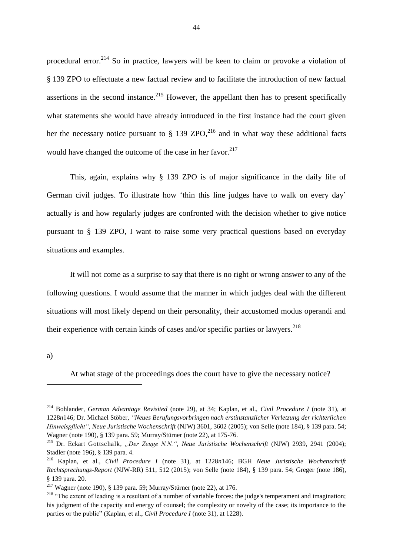procedural error.<sup>214</sup> So in practice, lawyers will be keen to claim or provoke a violation of § 139 ZPO to effectuate a new factual review and to facilitate the introduction of new factual assertions in the second instance.<sup>215</sup> However, the appellant then has to present specifically what statements she would have already introduced in the first instance had the court given her the necessary notice pursuant to  $\S$  139 ZPO,<sup>216</sup> and in what way these additional facts would have changed the outcome of the case in her favor.<sup>217</sup>

This, again, explains why § 139 ZPO is of major significance in the daily life of German civil judges. To illustrate how 'thin this line judges have to walk on every day' actually is and how regularly judges are confronted with the decision whether to give notice pursuant to § 139 ZPO, I want to raise some very practical questions based on everyday situations and examples.

It will not come as a surprise to say that there is no right or wrong answer to any of the following questions. I would assume that the manner in which judges deal with the different situations will most likely depend on their personality, their accustomed modus operandi and their experience with certain kinds of cases and/or specific parties or lawyers.<sup>218</sup>

a)

**.** 

At what stage of the proceedings does the court have to give the necessary notice?

<sup>214</sup> Bohlander, *German Advantage Revisited* (note 29), at 34; Kaplan, et al., *Civil Procedure I* (note 31), at 1228*n*146; Dr. Michael Stöber, *"Neues Berufungsvorbringen nach erstinstanzlicher Verletzung der richterlichen Hinweispflicht"*, *Neue Juristische Wochenschrift* (NJW) 3601, 3602 (2005); von Selle (note 184), § 139 para. 54; Wagner (note 190), § 139 para. 59; Murray/Stürner (note 22), at 175-76.

<sup>215</sup> Dr. Eckart Gottschalk, *"Der Zeuge N.N."*, *Neue Juristische Wochenschrift* (NJW) 2939, 2941 (2004); Stadler (note 196), § 139 para. 4.

<sup>216</sup> Kaplan, et al., *Civil Procedure I* (note 31), at 1228*n*146; BGH *Neue Juristische Wochenschrift Rechtsprechungs-Report* (NJW-RR) 511, 512 (2015); von Selle (note 184), § 139 para. 54; Greger (note 186), § 139 para. 20.

<sup>&</sup>lt;sup>217</sup> Wagner (note 190), § 139 para. 59; Murray/Stürner (note 22), at 176.

<sup>&</sup>lt;sup>218</sup> "The extent of leading is a resultant of a number of variable forces: the judge's temperament and imagination; his judgment of the capacity and energy of counsel; the complexity or novelty of the case; its importance to the parties or the public" (Kaplan, et al., *Civil Procedure I* (note 31), at 1228).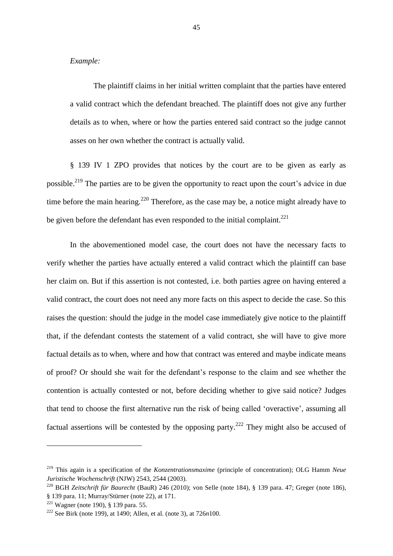#### *Example:*

The plaintiff claims in her initial written complaint that the parties have entered a valid contract which the defendant breached. The plaintiff does not give any further details as to when, where or how the parties entered said contract so the judge cannot asses on her own whether the contract is actually valid.

§ 139 IV 1 ZPO provides that notices by the court are to be given as early as possible.<sup>219</sup> The parties are to be given the opportunity to react upon the court's advice in due time before the main hearing.<sup>220</sup> Therefore, as the case may be, a notice might already have to be given before the defendant has even responded to the initial complaint.<sup>221</sup>

In the abovementioned model case, the court does not have the necessary facts to verify whether the parties have actually entered a valid contract which the plaintiff can base her claim on. But if this assertion is not contested, i.e. both parties agree on having entered a valid contract, the court does not need any more facts on this aspect to decide the case. So this raises the question: should the judge in the model case immediately give notice to the plaintiff that, if the defendant contests the statement of a valid contract, she will have to give more factual details as to when, where and how that contract was entered and maybe indicate means of proof? Or should she wait for the defendant's response to the claim and see whether the contention is actually contested or not, before deciding whether to give said notice? Judges that tend to choose the first alternative run the risk of being called 'overactive', assuming all factual assertions will be contested by the opposing party.<sup>222</sup> They might also be accused of

<sup>219</sup> This again is a specification of the *Konzentrationsmaxime* (principle of concentration); OLG Hamm *Neue Juristische Wochenschrift* (NJW) 2543, 2544 (2003).

<sup>220</sup> BGH *Zeitschrift für Baurecht* (BauR) 246 (2010); von Selle (note 184), § 139 para. 47; Greger (note 186), § 139 para. 11; Murray/Stürner (note 22), at 171.

<sup>221</sup> Wagner (note 190), § 139 para. 55.

<sup>222</sup> See Birk (note 199), at 1490; Allen, et al. (note 3), at 726*n*100.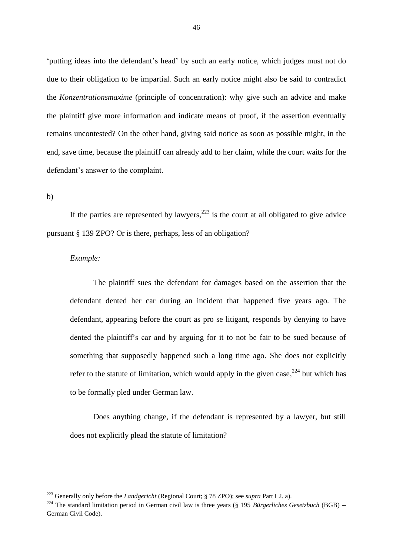'putting ideas into the defendant's head' by such an early notice, which judges must not do due to their obligation to be impartial. Such an early notice might also be said to contradict the *Konzentrationsmaxime* (principle of concentration): why give such an advice and make the plaintiff give more information and indicate means of proof, if the assertion eventually remains uncontested? On the other hand, giving said notice as soon as possible might, in the end, save time, because the plaintiff can already add to her claim, while the court waits for the defendant's answer to the complaint.

b)

 $\overline{\phantom{a}}$ 

If the parties are represented by lawyers,  $223$  is the court at all obligated to give advice pursuant § 139 ZPO? Or is there, perhaps, less of an obligation?

### *Example:*

The plaintiff sues the defendant for damages based on the assertion that the defendant dented her car during an incident that happened five years ago. The defendant, appearing before the court as pro se litigant, responds by denying to have dented the plaintiff's car and by arguing for it to not be fair to be sued because of something that supposedly happened such a long time ago. She does not explicitly refer to the statute of limitation, which would apply in the given case,  $2^{24}$  but which has to be formally pled under German law.

Does anything change, if the defendant is represented by a lawyer, but still does not explicitly plead the statute of limitation?

<sup>223</sup> Generally only before the *Landgericht* (Regional Court; § 78 ZPO); see *supra* Part I 2. a).

<sup>&</sup>lt;sup>224</sup> The standard limitation period in German civil law is three years (§ 195 *Bürgerliches Gesetzbuch* (BGB) --German Civil Code).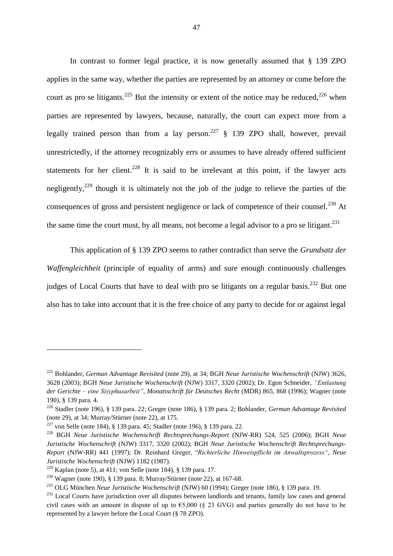In contrast to former legal practice, it is now generally assumed that § 139 ZPO applies in the same way, whether the parties are represented by an attorney or come before the court as pro se litigants.<sup>225</sup> But the intensity or extent of the notice may be reduced,<sup>226</sup> when parties are represented by lawyers, because, naturally, the court can expect more from a legally trained person than from a lay person.<sup>227</sup> § 139 ZPO shall, however, prevail unrestrictedly, if the attorney recognizably errs or assumes to have already offered sufficient statements for her client.<sup>228</sup> It is said to be irrelevant at this point, if the lawyer acts negligently,<sup>229</sup> though it is ultimately not the job of the judge to relieve the parties of the consequences of gross and persistent negligence or lack of competence of their counsel.<sup>230</sup> At the same time the court must, by all means, not become a legal advisor to a pro se litigant.<sup>231</sup>

This application of § 139 ZPO seems to rather contradict than serve the *Grundsatz der Waffengleichheit* (principle of equality of arms) and sure enough continuously challenges judges of Local Courts that have to deal with pro se litigants on a regular basis.<sup>232</sup> But one also has to take into account that it is the free choice of any party to decide for or against legal

 $\overline{\phantom{a}}$ 

<sup>225</sup> Bohlander, *German Advantage Revisited* (note 29), at 34; BGH *Neue Juristische Wochenschrift* (NJW) 3626, 3628 (2003); BGH *Neue Juristische Wochenschrift* (NJW) 3317, 3320 (2002); Dr. Egon Schneider, *"Entlastung der Gerichte – eine Sisyphusarbeit"*, *Monatsschrift für Deutsches Recht* (MDR) 865, 868 (1996); Wagner (note 190), § 139 para. 4.

<sup>226</sup> Stadler (note 196), § 139 para. 22; Greger (note 186), § 139 para. 2; Bohlander, *German Advantage Revisited* (note 29), at 34; Murray/Stürner (note 22), at 175.

<sup>&</sup>lt;sup>227</sup> von Selle (note 184), § 139 para. 45; Stadler (note 196), § 139 para. 22.

<sup>228</sup> BGH *Neue Juristische Wochenschrift Rechtsprechungs-Report* (NJW-RR) 524, 525 (2006); BGH *Neue Juristische Wochenschrift* (NJW) 3317, 3320 (2002); BGH *Neue Juristische Wochenschrift Rechtsprechungs-Report* (NJW-RR) 441 (1997); Dr. Reinhard Greger, "*Richterliche Hinweispflicht im Anwaltsprozess"*, *Neue Juristische Wochenschrift* (NJW) 1182 (1987).

<sup>&</sup>lt;sup>229</sup> Kaplan (note 5), at 411; von Selle (note 184), § 139 para. 17.

<sup>&</sup>lt;sup>230</sup> Wagner (note 190), § 139 para. 8; Murray/Stürner (note 22), at 167-68.

<sup>231</sup> OLG München *Neue Juristische Wochenschrift* (NJW) 60 (1994); Greger (note 186), § 139 para. 19.

 $^{232}$  Local Courts have jurisdiction over all disputes between landlords and tenants, family law cases and general civil cases with an amount in dispute of up to  $\epsilon$ 5,000 (§ 23 GVG) and parties generally do not have to be represented by a lawyer before the Local Court (§ 78 ZPO).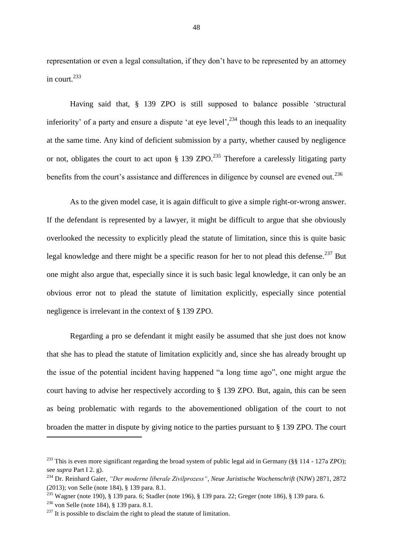representation or even a legal consultation, if they don't have to be represented by an attorney in court. $^{233}$ 

Having said that, § 139 ZPO is still supposed to balance possible 'structural inferiority' of a party and ensure a dispute 'at eye level',<sup>234</sup> though this leads to an inequality at the same time. Any kind of deficient submission by a party, whether caused by negligence or not, obligates the court to act upon § 139 ZPO.<sup>235</sup> Therefore a carelessly litigating party benefits from the court's assistance and differences in diligence by counsel are evened out.<sup>236</sup>

As to the given model case, it is again difficult to give a simple right-or-wrong answer. If the defendant is represented by a lawyer, it might be difficult to argue that she obviously overlooked the necessity to explicitly plead the statute of limitation, since this is quite basic legal knowledge and there might be a specific reason for her to not plead this defense.<sup>237</sup> But one might also argue that, especially since it is such basic legal knowledge, it can only be an obvious error not to plead the statute of limitation explicitly, especially since potential negligence is irrelevant in the context of § 139 ZPO.

Regarding a pro se defendant it might easily be assumed that she just does not know that she has to plead the statute of limitation explicitly and, since she has already brought up the issue of the potential incident having happened "a long time ago", one might argue the court having to advise her respectively according to § 139 ZPO. But, again, this can be seen as being problematic with regards to the abovementioned obligation of the court to not broaden the matter in dispute by giving notice to the parties pursuant to § 139 ZPO. The court

<sup>&</sup>lt;sup>233</sup> This is even more significant regarding the broad system of public legal aid in Germany (§§ 114 - 127a ZPO); see *supra* Part I 2. g).

<sup>234</sup> Dr. Reinhard Gaier, *"Der moderne liberale Zivilprozess"*, *Neue Juristische Wochenschrift* (NJW) 2871, 2872 (2013); von Selle (note 184), § 139 para. 8.1.

<sup>&</sup>lt;sup>235</sup> Wagner (note 190), § 139 para. 6; Stadler (note 196), § 139 para. 22; Greger (note 186), § 139 para. 6.

<sup>236</sup> von Selle (note 184), § 139 para. 8.1.

 $237$  It is possible to disclaim the right to plead the statute of limitation.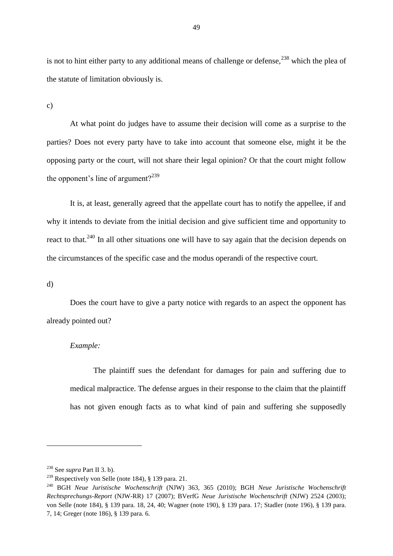is not to hint either party to any additional means of challenge or defense,<sup>238</sup> which the plea of the statute of limitation obviously is.

c)

At what point do judges have to assume their decision will come as a surprise to the parties? Does not every party have to take into account that someone else, might it be the opposing party or the court, will not share their legal opinion? Or that the court might follow the opponent's line of argument?<sup>239</sup>

It is, at least, generally agreed that the appellate court has to notify the appellee, if and why it intends to deviate from the initial decision and give sufficient time and opportunity to react to that.<sup>240</sup> In all other situations one will have to say again that the decision depends on the circumstances of the specific case and the modus operandi of the respective court.

#### d)

**.** 

Does the court have to give a party notice with regards to an aspect the opponent has already pointed out?

## *Example:*

The plaintiff sues the defendant for damages for pain and suffering due to medical malpractice. The defense argues in their response to the claim that the plaintiff has not given enough facts as to what kind of pain and suffering she supposedly

<sup>238</sup> See *supra* Part II 3. b).

<sup>239</sup> Respectively von Selle (note 184), § 139 para. 21.

<sup>240</sup> BGH *Neue Juristische Wochenschrift* (NJW) 363, 365 (2010); BGH *Neue Juristische Wochenschrift Rechtsprechungs-Report* (NJW-RR) 17 (2007); BVerfG *Neue Juristische Wochenschrift* (NJW) 2524 (2003); von Selle (note 184), § 139 para. 18, 24, 40; Wagner (note 190), § 139 para. 17; Stadler (note 196), § 139 para. 7, 14; Greger (note 186), § 139 para. 6.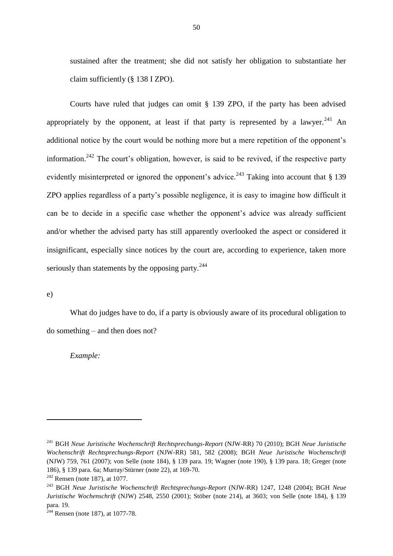sustained after the treatment; she did not satisfy her obligation to substantiate her claim sufficiently (§ 138 I ZPO).

Courts have ruled that judges can omit § 139 ZPO, if the party has been advised appropriately by the opponent, at least if that party is represented by a lawyer.<sup>241</sup> An additional notice by the court would be nothing more but a mere repetition of the opponent's information.<sup>242</sup> The court's obligation, however, is said to be revived, if the respective party evidently misinterpreted or ignored the opponent's advice.<sup>243</sup> Taking into account that  $\S$  139 ZPO applies regardless of a party's possible negligence, it is easy to imagine how difficult it can be to decide in a specific case whether the opponent's advice was already sufficient and/or whether the advised party has still apparently overlooked the aspect or considered it insignificant, especially since notices by the court are, according to experience, taken more seriously than statements by the opposing party.  $244$ 

e)

**.** 

What do judges have to do, if a party is obviously aware of its procedural obligation to do something – and then does not?

*Example:*

<sup>241</sup> BGH *Neue Juristische Wochenschrift Rechtsprechungs-Report* (NJW-RR) 70 (2010); BGH *Neue Juristische Wochenschrift Rechtsprechungs-Report* (NJW-RR) 581, 582 (2008); BGH *Neue Juristische Wochenschrift* (NJW) 759, 761 (2007); von Selle (note 184), § 139 para. 19; Wagner (note 190), § 139 para. 18; Greger (note 186), § 139 para. 6a; Murray/Stürner (note 22), at 169-70.

 $242$  Rensen (note 187), at 1077.

<sup>243</sup> BGH *Neue Juristische Wochenschrift Rechtsprechungs-Report* (NJW-RR) 1247, 1248 (2004); BGH *Neue Juristische Wochenschrift* (NJW) 2548, 2550 (2001); Stöber (note 214), at 3603; von Selle (note 184), § 139 para. 19.

 $244$  Rensen (note 187), at 1077-78.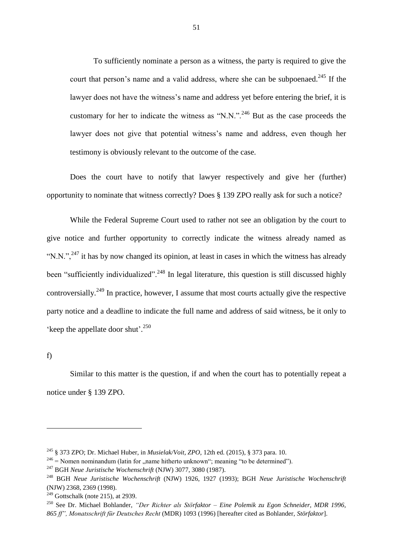To sufficiently nominate a person as a witness, the party is required to give the court that person's name and a valid address, where she can be subpoenaed.<sup>245</sup> If the lawyer does not have the witness's name and address yet before entering the brief, it is customary for her to indicate the witness as "N.N.".<sup>246</sup> But as the case proceeds the lawyer does not give that potential witness's name and address, even though her testimony is obviously relevant to the outcome of the case.

Does the court have to notify that lawyer respectively and give her (further) opportunity to nominate that witness correctly? Does § 139 ZPO really ask for such a notice?

While the Federal Supreme Court used to rather not see an obligation by the court to give notice and further opportunity to correctly indicate the witness already named as "N.N.",  $^{247}$  it has by now changed its opinion, at least in cases in which the witness has already been "sufficiently individualized".<sup>248</sup> In legal literature, this question is still discussed highly controversially.<sup>249</sup> In practice, however, I assume that most courts actually give the respective party notice and a deadline to indicate the full name and address of said witness, be it only to 'keep the appellate door shut'.<sup>250</sup>

f)

1

Similar to this matter is the question, if and when the court has to potentially repeat a notice under § 139 ZPO.

<sup>245</sup> § 373 ZPO; Dr. Michael Huber, in *Musielak/Voit, ZPO*, 12th ed. (2015), § 373 para. 10.

 $^{246}$  = Nomen nominandum (latin for , name hitherto unknown"; meaning "to be determined").

<sup>247</sup> BGH *Neue Juristische Wochenschrift* (NJW) 3077, 3080 (1987).

<sup>248</sup> BGH *Neue Juristische Wochenschrift* (NJW) 1926, 1927 (1993); BGH *Neue Juristische Wochenschrift*  (NJW) 2368, 2369 (1998).

 $249$  Gottschalk (note 215), at 2939.

<sup>250</sup> See Dr. Michael Bohlander, *"Der Richter als Störfaktor – Eine Polemik zu Egon Schneider, MDR 1996, 865 ff", Monatsschrift für Deutsches Recht* (MDR) 1093 (1996) [hereafter cited as Bohlander, *Störfaktor*].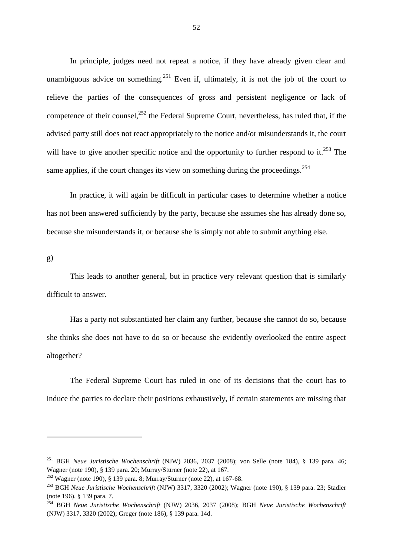In principle, judges need not repeat a notice, if they have already given clear and unambiguous advice on something.<sup>251</sup> Even if, ultimately, it is not the job of the court to relieve the parties of the consequences of gross and persistent negligence or lack of competence of their counsel, $^{252}$  the Federal Supreme Court, nevertheless, has ruled that, if the advised party still does not react appropriately to the notice and/or misunderstands it, the court will have to give another specific notice and the opportunity to further respond to it.<sup>253</sup> The same applies, if the court changes its view on something during the proceedings.<sup>254</sup>

In practice, it will again be difficult in particular cases to determine whether a notice has not been answered sufficiently by the party, because she assumes she has already done so, because she misunderstands it, or because she is simply not able to submit anything else.

g)

1

This leads to another general, but in practice very relevant question that is similarly difficult to answer.

Has a party not substantiated her claim any further, because she cannot do so, because she thinks she does not have to do so or because she evidently overlooked the entire aspect altogether?

The Federal Supreme Court has ruled in one of its decisions that the court has to induce the parties to declare their positions exhaustively, if certain statements are missing that

<sup>251</sup> BGH *Neue Juristische Wochenschrift* (NJW) 2036, 2037 (2008); von Selle (note 184), § 139 para. 46; Wagner (note 190), § 139 para. 20; Murray/Stürner (note 22), at 167.

<sup>&</sup>lt;sup>252</sup> Wagner (note 190), § 139 para. 8; Murray/Stürner (note 22), at 167-68.

<sup>253</sup> BGH *Neue Juristische Wochenschrift* (NJW) 3317, 3320 (2002); Wagner (note 190), § 139 para. 23; Stadler (note 196), § 139 para. 7.

<sup>254</sup> BGH *Neue Juristische Wochenschrift* (NJW) 2036, 2037 (2008); BGH *Neue Juristische Wochenschrift*  (NJW) 3317, 3320 (2002); Greger (note 186), § 139 para. 14d.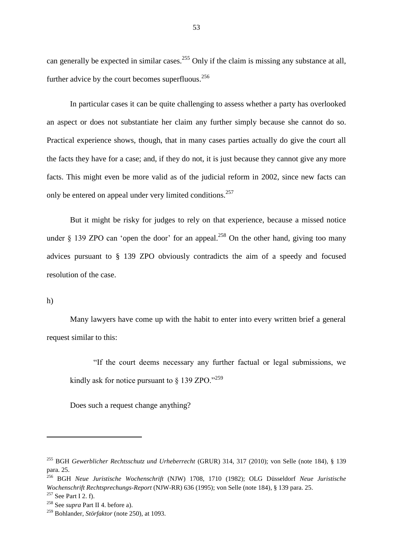can generally be expected in similar cases.<sup>255</sup> Only if the claim is missing any substance at all, further advice by the court becomes superfluous. $256$ 

In particular cases it can be quite challenging to assess whether a party has overlooked an aspect or does not substantiate her claim any further simply because she cannot do so. Practical experience shows, though, that in many cases parties actually do give the court all the facts they have for a case; and, if they do not, it is just because they cannot give any more facts. This might even be more valid as of the judicial reform in 2002, since new facts can only be entered on appeal under very limited conditions.<sup>257</sup>

But it might be risky for judges to rely on that experience, because a missed notice under  $\S$  139 ZPO can 'open the door' for an appeal.<sup>258</sup> On the other hand, giving too many advices pursuant to § 139 ZPO obviously contradicts the aim of a speedy and focused resolution of the case.

#### h)

1

Many lawyers have come up with the habit to enter into every written brief a general request similar to this:

"If the court deems necessary any further factual or legal submissions, we kindly ask for notice pursuant to  $\S$  139 ZPO."<sup>259</sup>

Does such a request change anything?

<sup>255</sup> BGH *Gewerblicher Rechtsschutz und Urheberrecht* (GRUR) 314, 317 (2010); von Selle (note 184), § 139 para. 25.

<sup>256</sup> BGH *Neue Juristische Wochenschrift* (NJW) 1708, 1710 (1982); OLG Düsseldorf *Neue Juristische Wochenschrift Rechtsprechungs-Report* (NJW-RR) 636 (1995); von Selle (note 184), § 139 para. 25.

 $257$  See Part I 2. f).

<sup>258</sup> See *supra* Part II 4. before a).

<sup>259</sup> Bohlander, *Störfaktor* (note 250), at 1093.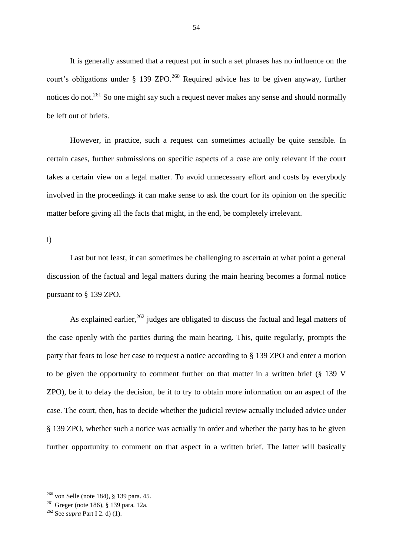It is generally assumed that a request put in such a set phrases has no influence on the court's obligations under  $\S$  139 ZPO.<sup>260</sup> Required advice has to be given anyway, further notices do not.<sup>261</sup> So one might say such a request never makes any sense and should normally be left out of briefs.

However, in practice, such a request can sometimes actually be quite sensible. In certain cases, further submissions on specific aspects of a case are only relevant if the court takes a certain view on a legal matter. To avoid unnecessary effort and costs by everybody involved in the proceedings it can make sense to ask the court for its opinion on the specific matter before giving all the facts that might, in the end, be completely irrelevant.

i)

Last but not least, it can sometimes be challenging to ascertain at what point a general discussion of the factual and legal matters during the main hearing becomes a formal notice pursuant to § 139 ZPO.

As explained earlier,  $262$  judges are obligated to discuss the factual and legal matters of the case openly with the parties during the main hearing. This, quite regularly, prompts the party that fears to lose her case to request a notice according to § 139 ZPO and enter a motion to be given the opportunity to comment further on that matter in a written brief (§ 139 V ZPO), be it to delay the decision, be it to try to obtain more information on an aspect of the case. The court, then, has to decide whether the judicial review actually included advice under § 139 ZPO, whether such a notice was actually in order and whether the party has to be given further opportunity to comment on that aspect in a written brief. The latter will basically

 $\overline{a}$ 

 $260$  von Selle (note 184), § 139 para. 45.

<sup>261</sup> Greger (note 186), § 139 para. 12a.

<sup>262</sup> See *supra* Part I 2. d) (1).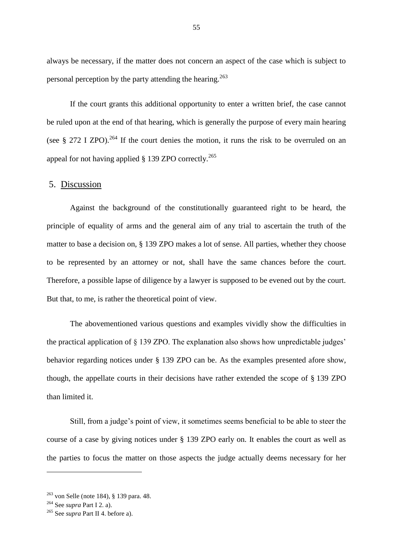always be necessary, if the matter does not concern an aspect of the case which is subject to personal perception by the party attending the hearing.<sup>263</sup>

If the court grants this additional opportunity to enter a written brief, the case cannot be ruled upon at the end of that hearing, which is generally the purpose of every main hearing (see  $\S 272$  I ZPO).<sup>264</sup> If the court denies the motion, it runs the risk to be overruled on an appeal for not having applied  $\S$  139 ZPO correctly.<sup>265</sup>

## 5. Discussion

Against the background of the constitutionally guaranteed right to be heard, the principle of equality of arms and the general aim of any trial to ascertain the truth of the matter to base a decision on, § 139 ZPO makes a lot of sense. All parties, whether they choose to be represented by an attorney or not, shall have the same chances before the court. Therefore, a possible lapse of diligence by a lawyer is supposed to be evened out by the court. But that, to me, is rather the theoretical point of view.

The abovementioned various questions and examples vividly show the difficulties in the practical application of § 139 ZPO. The explanation also shows how unpredictable judges' behavior regarding notices under § 139 ZPO can be. As the examples presented afore show, though, the appellate courts in their decisions have rather extended the scope of § 139 ZPO than limited it.

Still, from a judge's point of view, it sometimes seems beneficial to be able to steer the course of a case by giving notices under § 139 ZPO early on. It enables the court as well as the parties to focus the matter on those aspects the judge actually deems necessary for her

 $\overline{a}$ 

<sup>263</sup> von Selle (note 184), § 139 para. 48.

<sup>264</sup> See *supra* Part I 2. a).

<sup>265</sup> See *supra* Part II 4. before a).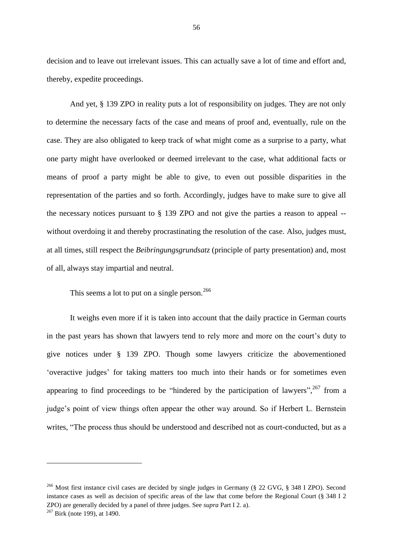decision and to leave out irrelevant issues. This can actually save a lot of time and effort and, thereby, expedite proceedings.

And yet, § 139 ZPO in reality puts a lot of responsibility on judges. They are not only to determine the necessary facts of the case and means of proof and, eventually, rule on the case. They are also obligated to keep track of what might come as a surprise to a party, what one party might have overlooked or deemed irrelevant to the case, what additional facts or means of proof a party might be able to give, to even out possible disparities in the representation of the parties and so forth. Accordingly, judges have to make sure to give all the necessary notices pursuant to § 139 ZPO and not give the parties a reason to appeal - without overdoing it and thereby procrastinating the resolution of the case. Also, judges must, at all times, still respect the *Beibringungsgrundsatz* (principle of party presentation) and, most of all, always stay impartial and neutral.

This seems a lot to put on a single person.<sup>266</sup>

It weighs even more if it is taken into account that the daily practice in German courts in the past years has shown that lawyers tend to rely more and more on the court's duty to give notices under § 139 ZPO. Though some lawyers criticize the abovementioned 'overactive judges' for taking matters too much into their hands or for sometimes even appearing to find proceedings to be "hindered by the participation of lawyers", $^{267}$  from a judge's point of view things often appear the other way around. So if Herbert L. Bernstein writes, "The process thus should be understood and described not as court-conducted, but as a

<sup>&</sup>lt;sup>266</sup> Most first instance civil cases are decided by single judges in Germany ( $\S$  22 GVG,  $\S$  348 I ZPO). Second instance cases as well as decision of specific areas of the law that come before the Regional Court (§ 348 I 2 ZPO) are generally decided by a panel of three judges. See *supra* Part I 2. a).

 $267$  Birk (note 199), at 1490.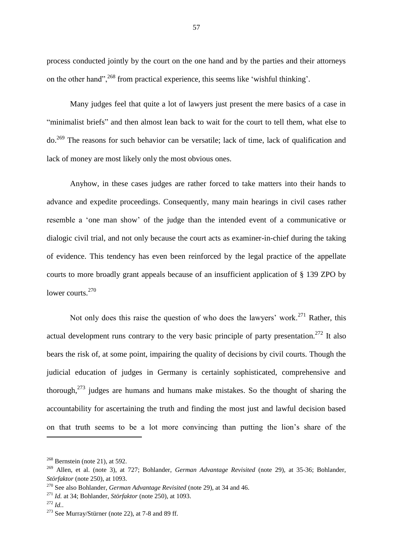process conducted jointly by the court on the one hand and by the parties and their attorneys on the other hand",<sup>268</sup> from practical experience, this seems like 'wishful thinking'.

Many judges feel that quite a lot of lawyers just present the mere basics of a case in "minimalist briefs" and then almost lean back to wait for the court to tell them, what else to do.<sup>269</sup> The reasons for such behavior can be versatile; lack of time, lack of qualification and lack of money are most likely only the most obvious ones.

Anyhow, in these cases judges are rather forced to take matters into their hands to advance and expedite proceedings. Consequently, many main hearings in civil cases rather resemble a 'one man show' of the judge than the intended event of a communicative or dialogic civil trial, and not only because the court acts as examiner-in-chief during the taking of evidence. This tendency has even been reinforced by the legal practice of the appellate courts to more broadly grant appeals because of an insufficient application of § 139 ZPO by lower courts.<sup>270</sup>

Not only does this raise the question of who does the lawyers' work.<sup>271</sup> Rather, this actual development runs contrary to the very basic principle of party presentation.<sup>272</sup> It also bears the risk of, at some point, impairing the quality of decisions by civil courts. Though the judicial education of judges in Germany is certainly sophisticated, comprehensive and thorough,<sup>273</sup> judges are humans and humans make mistakes. So the thought of sharing the accountability for ascertaining the truth and finding the most just and lawful decision based on that truth seems to be a lot more convincing than putting the lion's share of the

<sup>271</sup> *Id.* at 34; Bohlander, *Störfaktor* (note 250), at 1093.

 $268$  Bernstein (note 21), at 592.

<sup>269</sup> Allen, et al. (note 3), at 727; Bohlander, *German Advantage Revisited* (note 29), at 35-36; Bohlander, *Störfaktor* (note 250), at 1093.

<sup>270</sup> See also Bohlander, *German Advantage Revisited* (note 29), at 34 and 46.

<sup>272</sup> *Id.*.

<sup>273</sup> See Murray/Stürner (note 22), at 7-8 and 89 ff.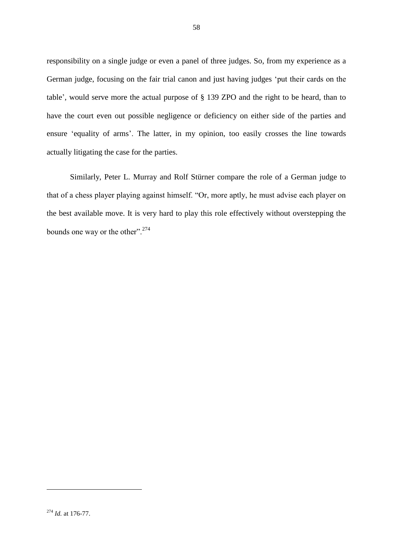responsibility on a single judge or even a panel of three judges. So, from my experience as a German judge, focusing on the fair trial canon and just having judges 'put their cards on the table', would serve more the actual purpose of § 139 ZPO and the right to be heard, than to have the court even out possible negligence or deficiency on either side of the parties and ensure 'equality of arms'. The latter, in my opinion, too easily crosses the line towards actually litigating the case for the parties.

Similarly, Peter L. Murray and Rolf Stürner compare the role of a German judge to that of a chess player playing against himself. "Or, more aptly, he must advise each player on the best available move. It is very hard to play this role effectively without overstepping the bounds one way or the other".<sup>274</sup>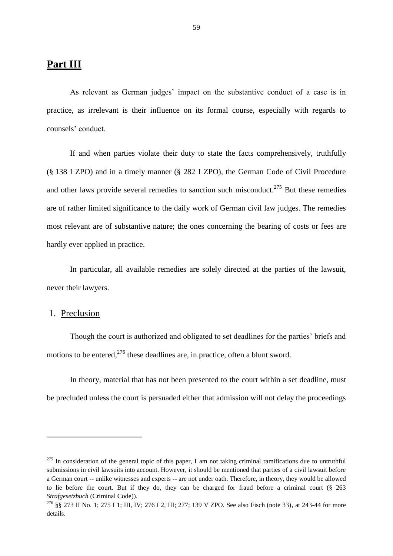# **Part III**

As relevant as German judges' impact on the substantive conduct of a case is in practice, as irrelevant is their influence on its formal course, especially with regards to counsels' conduct.

If and when parties violate their duty to state the facts comprehensively, truthfully (§ 138 I ZPO) and in a timely manner (§ 282 I ZPO), the German Code of Civil Procedure and other laws provide several remedies to sanction such misconduct.<sup>275</sup> But these remedies are of rather limited significance to the daily work of German civil law judges. The remedies most relevant are of substantive nature; the ones concerning the bearing of costs or fees are hardly ever applied in practice.

In particular, all available remedies are solely directed at the parties of the lawsuit, never their lawyers.

## 1. Preclusion

1

Though the court is authorized and obligated to set deadlines for the parties' briefs and motions to be entered,  $276$  these deadlines are, in practice, often a blunt sword.

In theory, material that has not been presented to the court within a set deadline, must be precluded unless the court is persuaded either that admission will not delay the proceedings

 $^{275}$  In consideration of the general topic of this paper, I am not taking criminal ramifications due to untruthful submissions in civil lawsuits into account. However, it should be mentioned that parties of a civil lawsuit before a German court -- unlike witnesses and experts -- are not under oath. Therefore, in theory, they would be allowed to lie before the court. But if they do, they can be charged for fraud before a criminal court (§ 263 *Strafgesetzbuch* (Criminal Code)).

<sup>276</sup> §§ 273 II No. 1; 275 I 1; III, IV; 276 I 2, III; 277; 139 V ZPO. See also Fisch (note 33), at 243-44 for more details.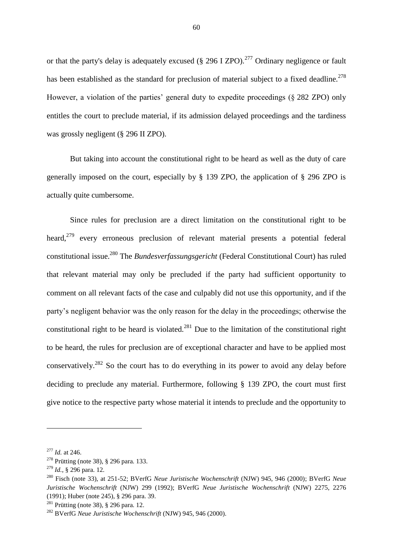or that the party's delay is adequately excused (§ 296 I ZPO).<sup>277</sup> Ordinary negligence or fault has been established as the standard for preclusion of material subject to a fixed deadline.<sup>278</sup> However, a violation of the parties' general duty to expedite proceedings (§ 282 ZPO) only entitles the court to preclude material, if its admission delayed proceedings and the tardiness was grossly negligent (§ 296 II ZPO).

But taking into account the constitutional right to be heard as well as the duty of care generally imposed on the court, especially by § 139 ZPO, the application of § 296 ZPO is actually quite cumbersome.

Since rules for preclusion are a direct limitation on the constitutional right to be heard,<sup>279</sup> every erroneous preclusion of relevant material presents a potential federal constitutional issue.<sup>280</sup> The *Bundesverfassungsgericht* (Federal Constitutional Court) has ruled that relevant material may only be precluded if the party had sufficient opportunity to comment on all relevant facts of the case and culpably did not use this opportunity, and if the party's negligent behavior was the only reason for the delay in the proceedings; otherwise the constitutional right to be heard is violated.<sup>281</sup> Due to the limitation of the constitutional right to be heard, the rules for preclusion are of exceptional character and have to be applied most conservatively.<sup>282</sup> So the court has to do everything in its power to avoid any delay before deciding to preclude any material. Furthermore, following § 139 ZPO, the court must first give notice to the respective party whose material it intends to preclude and the opportunity to

<sup>277</sup> *Id.* at 246.

<sup>&</sup>lt;sup>278</sup> Prütting (note 38), § 296 para. 133.

<sup>279</sup> *Id.*, § 296 para. 12.

<sup>280</sup> Fisch (note 33), at 251-52; BVerfG *Neue Juristische Wochenschrift* (NJW) 945, 946 (2000); BVerfG *Neue Juristische Wochenschrift* (NJW) 299 (1992); BVerfG *Neue Juristische Wochenschrift* (NJW) 2275, 2276 (1991); Huber (note 245), § 296 para. 39.

<sup>&</sup>lt;sup>281</sup> Prütting (note 38),  $\S$  296 para. 12.

<sup>282</sup> BVerfG *Neue Juristische Wochenschrift* (NJW) 945, 946 (2000).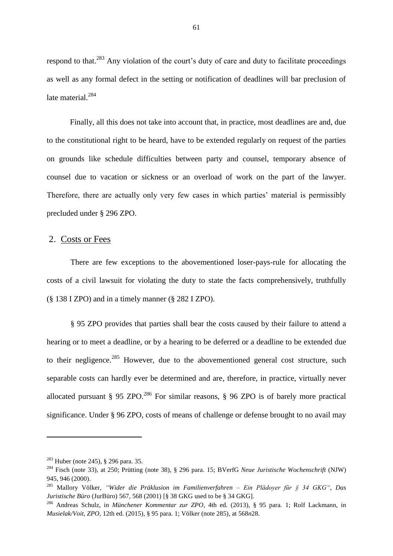respond to that.<sup>283</sup> Any violation of the court's duty of care and duty to facilitate proceedings as well as any formal defect in the setting or notification of deadlines will bar preclusion of late material.<sup>284</sup>

Finally, all this does not take into account that, in practice, most deadlines are and, due to the constitutional right to be heard, have to be extended regularly on request of the parties on grounds like schedule difficulties between party and counsel, temporary absence of counsel due to vacation or sickness or an overload of work on the part of the lawyer. Therefore, there are actually only very few cases in which parties' material is permissibly precluded under § 296 ZPO.

## 2. Costs or Fees

There are few exceptions to the abovementioned loser-pays-rule for allocating the costs of a civil lawsuit for violating the duty to state the facts comprehensively, truthfully (§ 138 I ZPO) and in a timely manner (§ 282 I ZPO).

§ 95 ZPO provides that parties shall bear the costs caused by their failure to attend a hearing or to meet a deadline, or by a hearing to be deferred or a deadline to be extended due to their negligence.<sup>285</sup> However, due to the abovementioned general cost structure, such separable costs can hardly ever be determined and are, therefore, in practice, virtually never allocated pursuant § 95 ZPO.<sup>286</sup> For similar reasons, § 96 ZPO is of barely more practical significance. Under § 96 ZPO, costs of means of challenge or defense brought to no avail may

<sup>283</sup> Huber (note 245), § 296 para. 35.

<sup>284</sup> Fisch (note 33), at 250; Prütting (note 38), § 296 para. 15; BVerfG *Neue Juristische Wochenschrift* (NJW) 945, 946 (2000).

<sup>285</sup> Mallory Völker, *"Wider die Präklusion im Familienverfahren – Ein Plädoyer für § 34 GKG"*, *Das Juristische Büro* (JurBüro) 567, 568 (2001) [§ 38 GKG used to be § 34 GKG].

<sup>286</sup> Andreas Schulz, in *Münchener Kommentar zur ZPO*, 4th ed. (2013), § 95 para. 1; Rolf Lackmann, in *Musielak/Voit, ZPO*, 12th ed. (2015), § 95 para. 1; Völker (note 285), at 568*n*28.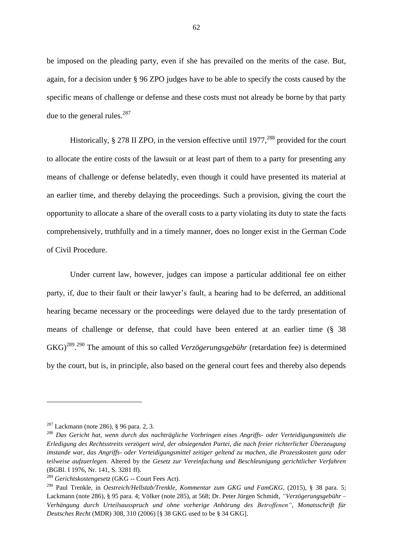be imposed on the pleading party, even if she has prevailed on the merits of the case. But, again, for a decision under § 96 ZPO judges have to be able to specify the costs caused by the specific means of challenge or defense and these costs must not already be borne by that party due to the general rules. $^{287}$ 

Historically,  $\S 278$  II ZPO, in the version effective until 1977,<sup>288</sup> provided for the court to allocate the entire costs of the lawsuit or at least part of them to a party for presenting any means of challenge or defense belatedly, even though it could have presented its material at an earlier time, and thereby delaying the proceedings. Such a provision, giving the court the opportunity to allocate a share of the overall costs to a party violating its duty to state the facts comprehensively, truthfully and in a timely manner, does no longer exist in the German Code of Civil Procedure.

Under current law, however, judges can impose a particular additional fee on either party, if, due to their fault or their lawyer's fault, a hearing had to be deferred, an additional hearing became necessary or the proceedings were delayed due to the tardy presentation of means of challenge or defense, that could have been entered at an earlier time (§ 38 GKG)<sup>289</sup>.<sup>290</sup> The amount of this so called *Verzögerungsgebühr* (retardation fee) is determined by the court, but is, in principle, also based on the general court fees and thereby also depends

 $287$  Lackmann (note 286), § 96 para. 2, 3.

<sup>288</sup> *Das Gericht hat, wenn durch das nachträgliche Vorbringen eines Angriffs- oder Verteidigungsmittels die Erledigung des Rechtsstreits verzögert wird, der obsiegenden Partei, die nach freier richterlicher Überzeugung imstande war, das Angriffs- oder Verteidigungsmittel zeitiger geltend zu machen, die Prozesskosten ganz oder teilweise aufzuerlegen*. Altered by the *Gesetz zur Vereinfachung und Beschleunigung gerichtlicher Verfahren* (BGBl. I 1976, Nr. 141, S. 3281 ff).

<sup>289</sup> *Gerichtskostengesetz* (GKG -- Court Fees Act).

<sup>290</sup> Paul Trenkle, in *Oestreich/Hellstab/Trenkle, Kommentar zum GKG und FamGKG*, (2015), § 38 para. 5; Lackmann (note 286), § 95 para. 4; Völker (note 285), at 568; Dr. Peter Jürgen Schmidt, *"Verzögerungsgebühr – Verhängung durch Urteilsausspruch und ohne vorherige Anhörung des Betroffenen"*, *Monatsschrift für Deutsches Recht* (MDR) 308, 310 (2006) [§ 38 GKG used to be § 34 GKG].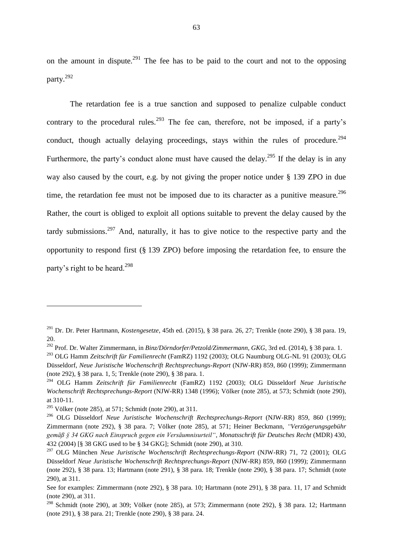on the amount in dispute.<sup>291</sup> The fee has to be paid to the court and not to the opposing party.<sup>292</sup>

The retardation fee is a true sanction and supposed to penalize culpable conduct contrary to the procedural rules.<sup>293</sup> The fee can, therefore, not be imposed, if a party's conduct, though actually delaying proceedings, stays within the rules of procedure.<sup>294</sup> Furthermore, the party's conduct alone must have caused the delay.<sup>295</sup> If the delay is in any way also caused by the court, e.g. by not giving the proper notice under § 139 ZPO in due time, the retardation fee must not be imposed due to its character as a punitive measure.<sup>296</sup> Rather, the court is obliged to exploit all options suitable to prevent the delay caused by the tardy submissions.<sup>297</sup> And, naturally, it has to give notice to the respective party and the opportunity to respond first (§ 139 ZPO) before imposing the retardation fee, to ensure the party's right to be heard.<sup>298</sup>

<sup>291</sup> Dr. Dr. Peter Hartmann, *Kostengesetze*, 45th ed. (2015), § 38 para. 26, 27; Trenkle (note 290), § 38 para. 19, 20.

<sup>292</sup> Prof. Dr. Walter Zimmermann, in *Binz/Dörndorfer/Petzold/Zimmermann, GKG*, 3rd ed. (2014), § 38 para. 1.

<sup>293</sup> OLG Hamm *Zeitschrift für Familienrecht* (FamRZ) 1192 (2003); OLG Naumburg OLG-NL 91 (2003); OLG Düsseldorf, *Neue Juristische Wochenschrift Rechtsprechungs-Report* (NJW-RR) 859, 860 (1999); Zimmermann (note 292), § 38 para. 1, 5; Trenkle (note 290), § 38 para. 1.

<sup>294</sup> OLG Hamm *Zeitschrift für Familienrecht* (FamRZ) 1192 (2003); OLG Düsseldorf *Neue Juristische Wochenschrift Rechtsprechungs-Report* (NJW-RR) 1348 (1996); Völker (note 285), at 573; Schmidt (note 290), at 310-11.

<sup>&</sup>lt;sup>295</sup> Völker (note 285), at 571; Schmidt (note 290), at 311.

<sup>296</sup> OLG Düsseldorf *Neue Juristische Wochenschrift Rechtsprechungs-Report* (NJW-RR) 859, 860 (1999); Zimmermann (note 292), § 38 para. 7; Völker (note 285), at 571; Heiner Beckmann, *"Verzögerungsgebühr gemäß § 34 GKG nach Einspruch gegen ein Versäumnisurteil"*, *Monatsschrift für Deutsches Recht* (MDR) 430, 432 (2004) [§ 38 GKG used to be § 34 GKG]; Schmidt (note 290), at 310.

<sup>297</sup> OLG München *Neue Juristische Wochenschrift Rechtsprechungs-Report* (NJW-RR) 71, 72 (2001); OLG Düsseldorf *Neue Juristische Wochenschrift Rechtsprechungs-Report* (NJW-RR) 859, 860 (1999); Zimmermann (note 292), § 38 para. 13; Hartmann (note 291), § 38 para. 18; Trenkle (note 290), § 38 para. 17; Schmidt (note 290), at 311.

See for examples: Zimmermann (note 292), § 38 para. 10; Hartmann (note 291), § 38 para. 11, 17 and Schmidt (note 290), at 311.

<sup>&</sup>lt;sup>298</sup> Schmidt (note 290), at 309; Völker (note 285), at 573; Zimmermann (note 292), § 38 para. 12; Hartmann (note 291), § 38 para. 21; Trenkle (note 290), § 38 para. 24.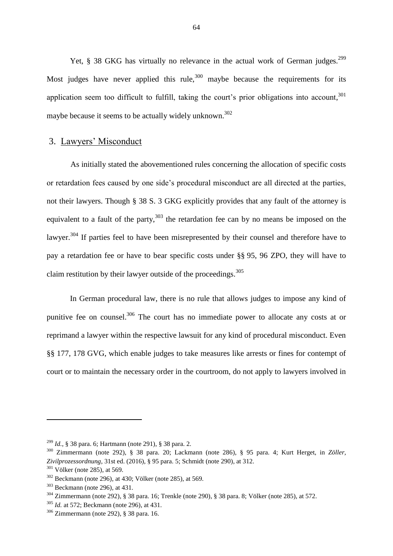Yet,  $\S$  38 GKG has virtually no relevance in the actual work of German judges.<sup>299</sup> Most judges have never applied this rule,  $300$  maybe because the requirements for its application seem too difficult to fulfill, taking the court's prior obligations into account, <sup>301</sup> maybe because it seems to be actually widely unknown.<sup>302</sup>

## 3. Lawyers' Misconduct

As initially stated the abovementioned rules concerning the allocation of specific costs or retardation fees caused by one side's procedural misconduct are all directed at the parties, not their lawyers. Though § 38 S. 3 GKG explicitly provides that any fault of the attorney is equivalent to a fault of the party, $303$  the retardation fee can by no means be imposed on the lawyer.<sup>304</sup> If parties feel to have been misrepresented by their counsel and therefore have to pay a retardation fee or have to bear specific costs under §§ 95, 96 ZPO, they will have to claim restitution by their lawyer outside of the proceedings.<sup>305</sup>

In German procedural law, there is no rule that allows judges to impose any kind of punitive fee on counsel.<sup>306</sup> The court has no immediate power to allocate any costs at or reprimand a lawyer within the respective lawsuit for any kind of procedural misconduct. Even §§ 177, 178 GVG, which enable judges to take measures like arrests or fines for contempt of court or to maintain the necessary order in the courtroom, do not apply to lawyers involved in

<sup>299</sup> *Id.*, § 38 para. 6; Hartmann (note 291), § 38 para. 2.

<sup>300</sup> Zimmermann (note 292), § 38 para. 20; Lackmann (note 286), § 95 para. 4; Kurt Herget, in *Zöller, Zivilprozessordnung*, 31st ed. (2016), § 95 para. 5; Schmidt (note 290), at 312.

 $301$  Völker (note 285), at 569.

<sup>302</sup> Beckmann (note 296), at 430; Völker (note 285), at 569.

<sup>303</sup> Beckmann (note 296), at 431.

<sup>304</sup> Zimmermann (note 292), § 38 para. 16; Trenkle (note 290), § 38 para. 8; Völker (note 285), at 572.

<sup>305</sup> *Id.* at 572; Beckmann (note 296), at 431.

<sup>306</sup> Zimmermann (note 292), § 38 para. 16.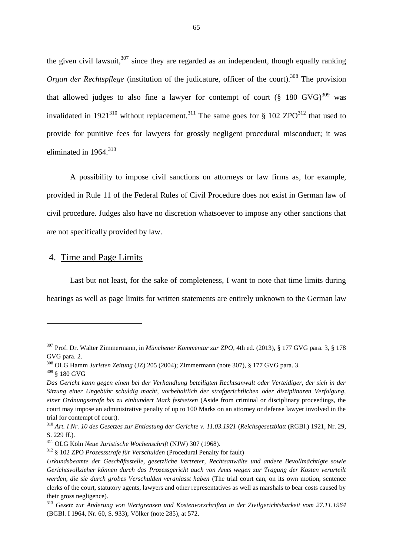the given civil lawsuit,  $307$  since they are regarded as an independent, though equally ranking *Organ der Rechtspflege* (institution of the judicature, officer of the court).<sup>308</sup> The provision that allowed judges to also fine a lawyer for contempt of court  $(\S$  180 GVG)<sup>309</sup> was invalidated in 1921<sup>310</sup> without replacement.<sup>311</sup> The same goes for § 102 ZPO<sup>312</sup> that used to provide for punitive fees for lawyers for grossly negligent procedural misconduct; it was eliminated in  $1964$ <sup>313</sup>

A possibility to impose civil sanctions on attorneys or law firms as, for example, provided in Rule 11 of the Federal Rules of Civil Procedure does not exist in German law of civil procedure. Judges also have no discretion whatsoever to impose any other sanctions that are not specifically provided by law.

## 4. Time and Page Limits

Last but not least, for the sake of completeness, I want to note that time limits during hearings as well as page limits for written statements are entirely unknown to the German law

<sup>307</sup> Prof. Dr. Walter Zimmermann, in *Münchener Kommentar zur ZPO*, 4th ed. (2013), § 177 GVG para. 3, § 178 GVG para. 2.

<sup>308</sup> OLG Hamm *Juristen Zeitung* (JZ) 205 (2004); Zimmermann (note 307), § 177 GVG para. 3.

 $309$  § 180 GVG

*Das Gericht kann gegen einen bei der Verhandlung beteiligten Rechtsanwalt oder Verteidiger, der sich in der Sitzung einer Ungebühr schuldig macht, vorbehaltlich der strafgerichtlichen oder disziplinaren Verfolgung, einer Ordnungsstrafe bis zu einhundert Mark festsetzen* (Aside from criminal or disciplinary proceedings, the court may impose an administrative penalty of up to 100 Marks on an attorney or defense lawyer involved in the trial for contempt of court).

<sup>310</sup> *Art. I Nr. 10 des Gesetzes zur Entlastung der Gerichte v. 11.03.1921* (*Reichsgesetzblatt* (RGBl.) 1921, Nr. 29, S. 229 ff.).

<sup>311</sup> OLG Köln *Neue Juristische Wochenschrift* (NJW) 307 (1968).

<sup>312</sup> § 102 ZPO *Prozessstrafe für Verschulden* (Procedural Penalty for fault)

*Urkundsbeamte der Geschäftsstelle, gesetzliche Vertreter, Rechtsanwälte und andere Bevollmächtigte sowie Gerichtsvollzieher können durch das Prozessgericht auch von Amts wegen zur Tragung der Kosten verurteilt werden, die sie durch grobes Verschulden veranlasst haben* (The trial court can, on its own motion, sentence clerks of the court, statutory agents, lawyers and other representatives as well as marshals to bear costs caused by their gross negligence).

<sup>313</sup> *Gesetz zur Änderung von Wertgrenzen und Kostenvorschriften in der Zivilgerichtsbarkeit vom 27.11.1964* (BGBl. I 1964, Nr. 60, S. 933); Völker (note 285), at 572.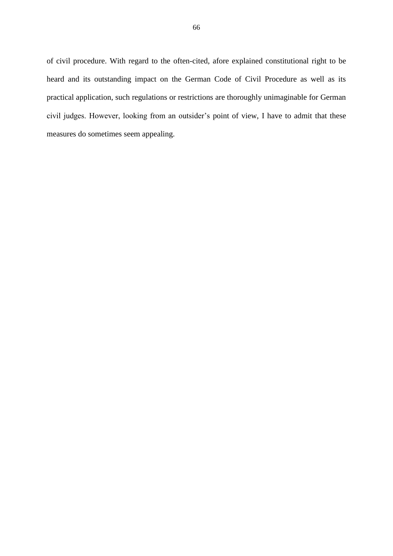of civil procedure. With regard to the often-cited, afore explained constitutional right to be heard and its outstanding impact on the German Code of Civil Procedure as well as its practical application, such regulations or restrictions are thoroughly unimaginable for German civil judges. However, looking from an outsider's point of view, I have to admit that these measures do sometimes seem appealing.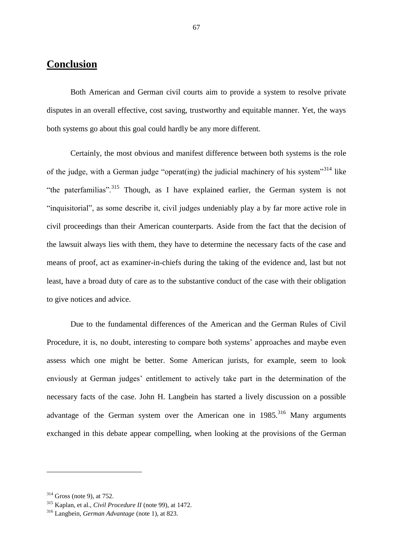# **Conclusion**

Both American and German civil courts aim to provide a system to resolve private disputes in an overall effective, cost saving, trustworthy and equitable manner. Yet, the ways both systems go about this goal could hardly be any more different.

Certainly, the most obvious and manifest difference between both systems is the role of the judge, with a German judge "operat(ing) the judicial machinery of his system"<sup>314</sup> like "the paterfamilias".<sup>315</sup> Though, as I have explained earlier, the German system is not "inquisitorial", as some describe it, civil judges undeniably play a by far more active role in civil proceedings than their American counterparts. Aside from the fact that the decision of the lawsuit always lies with them, they have to determine the necessary facts of the case and means of proof, act as examiner-in-chiefs during the taking of the evidence and, last but not least, have a broad duty of care as to the substantive conduct of the case with their obligation to give notices and advice.

Due to the fundamental differences of the American and the German Rules of Civil Procedure, it is, no doubt, interesting to compare both systems' approaches and maybe even assess which one might be better. Some American jurists, for example, seem to look enviously at German judges' entitlement to actively take part in the determination of the necessary facts of the case. John H. Langbein has started a lively discussion on a possible advantage of the German system over the American one in  $1985$ <sup>316</sup> Many arguments exchanged in this debate appear compelling, when looking at the provisions of the German

 $\overline{a}$ 

 $314$  Gross (note 9), at 752.

<sup>315</sup> Kaplan, et al., *Civil Procedure II* (note 99), at 1472.

<sup>316</sup> Langbein, *German Advantage* (note 1), at 823.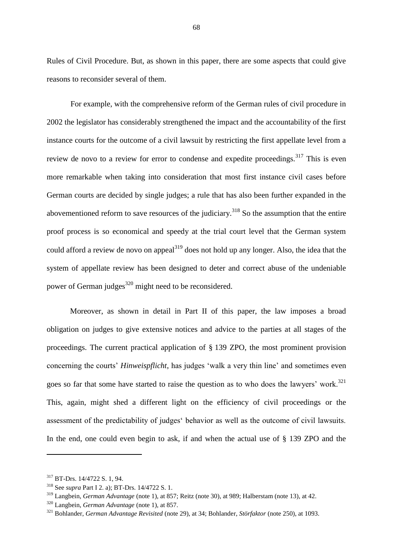Rules of Civil Procedure. But, as shown in this paper, there are some aspects that could give reasons to reconsider several of them.

For example, with the comprehensive reform of the German rules of civil procedure in 2002 the legislator has considerably strengthened the impact and the accountability of the first instance courts for the outcome of a civil lawsuit by restricting the first appellate level from a review de novo to a review for error to condense and expedite proceedings.<sup>317</sup> This is even more remarkable when taking into consideration that most first instance civil cases before German courts are decided by single judges; a rule that has also been further expanded in the abovementioned reform to save resources of the judiciary.<sup>318</sup> So the assumption that the entire proof process is so economical and speedy at the trial court level that the German system could afford a review de novo on appeal<sup>319</sup> does not hold up any longer. Also, the idea that the system of appellate review has been designed to deter and correct abuse of the undeniable power of German judges $320$  might need to be reconsidered.

Moreover, as shown in detail in Part II of this paper, the law imposes a broad obligation on judges to give extensive notices and advice to the parties at all stages of the proceedings. The current practical application of § 139 ZPO, the most prominent provision concerning the courts' *Hinweispflicht*, has judges 'walk a very thin line' and sometimes even goes so far that some have started to raise the question as to who does the lawyers' work.<sup>321</sup> This, again, might shed a different light on the efficiency of civil proceedings or the assessment of the predictability of judges' behavior as well as the outcome of civil lawsuits. In the end, one could even begin to ask, if and when the actual use of § 139 ZPO and the

<sup>317</sup> BT-Drs. 14/4722 S. 1, 94.

<sup>318</sup> See *supra* Part I 2. a); BT-Drs. 14/4722 S. 1.

<sup>319</sup> Langbein, *German Advantage* (note 1), at 857; Reitz (note 30), at 989; Halberstam (note 13), at 42.

<sup>320</sup> Langbein, *German Advantage* (note 1), at 857.

<sup>321</sup> Bohlander, *German Advantage Revisited* (note 29), at 34; Bohlander, *Störfaktor* (note 250), at 1093.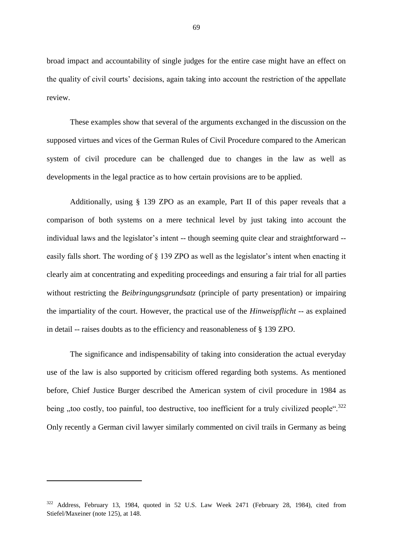broad impact and accountability of single judges for the entire case might have an effect on the quality of civil courts' decisions, again taking into account the restriction of the appellate review.

These examples show that several of the arguments exchanged in the discussion on the supposed virtues and vices of the German Rules of Civil Procedure compared to the American system of civil procedure can be challenged due to changes in the law as well as developments in the legal practice as to how certain provisions are to be applied.

Additionally, using § 139 ZPO as an example, Part II of this paper reveals that a comparison of both systems on a mere technical level by just taking into account the individual laws and the legislator's intent -- though seeming quite clear and straightforward - easily falls short. The wording of § 139 ZPO as well as the legislator's intent when enacting it clearly aim at concentrating and expediting proceedings and ensuring a fair trial for all parties without restricting the *Beibringungsgrundsatz* (principle of party presentation) or impairing the impartiality of the court. However, the practical use of the *Hinweispflicht* -- as explained in detail -- raises doubts as to the efficiency and reasonableness of § 139 ZPO.

The significance and indispensability of taking into consideration the actual everyday use of the law is also supported by criticism offered regarding both systems. As mentioned before, Chief Justice Burger described the American system of civil procedure in 1984 as being , too costly, too painful, too destructive, too inefficient for a truly civilized people".<sup>322</sup> Only recently a German civil lawyer similarly commented on civil trails in Germany as being

<sup>322</sup> Address, February 13, 1984, quoted in 52 U.S. Law Week 2471 (February 28, 1984), cited from Stiefel/Maxeiner (note 125), at 148.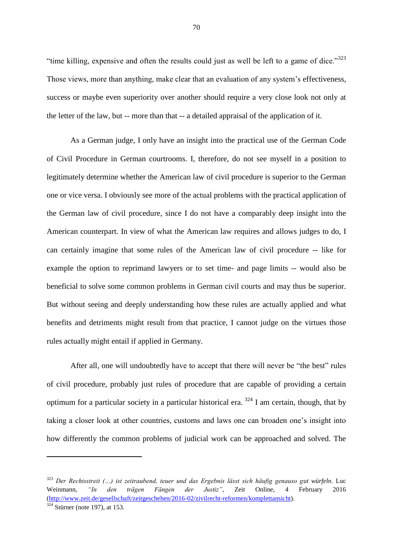"time killing, expensive and often the results could just as well be left to a game of dice." $323$ Those views, more than anything, make clear that an evaluation of any system's effectiveness, success or maybe even superiority over another should require a very close look not only at the letter of the law, but -- more than that -- a detailed appraisal of the application of it.

As a German judge, I only have an insight into the practical use of the German Code of Civil Procedure in German courtrooms. I, therefore, do not see myself in a position to legitimately determine whether the American law of civil procedure is superior to the German one or vice versa. I obviously see more of the actual problems with the practical application of the German law of civil procedure, since I do not have a comparably deep insight into the American counterpart. In view of what the American law requires and allows judges to do, I can certainly imagine that some rules of the American law of civil procedure -- like for example the option to reprimand lawyers or to set time- and page limits -- would also be beneficial to solve some common problems in German civil courts and may thus be superior. But without seeing and deeply understanding how these rules are actually applied and what benefits and detriments might result from that practice, I cannot judge on the virtues those rules actually might entail if applied in Germany.

After all, one will undoubtedly have to accept that there will never be "the best" rules of civil procedure, probably just rules of procedure that are capable of providing a certain optimum for a particular society in a particular historical era.  $324$  I am certain, though, that by taking a closer look at other countries, customs and laws one can broaden one's insight into how differently the common problems of judicial work can be approached and solved. The

 $\overline{a}$ 

<sup>323</sup> *Der Rechtsstreit (…) ist zeitraubend, teuer und das Ergebnis lässt sich häufig genauso gut würfeln.* Luc Weinmann, *"In den trägen Fängen der Justiz"*, Zeit Online, 4 February 2016 [\(http://www.zeit.de/gesellschaft/zeitgeschehen/2016-02/zivilrecht-reformen/komplettansicht\)](http://www.zeit.de/gesellschaft/zeitgeschehen/2016-02/zivilrecht-reformen/komplettansicht).

 $324$  Stürner (note 197), at 153.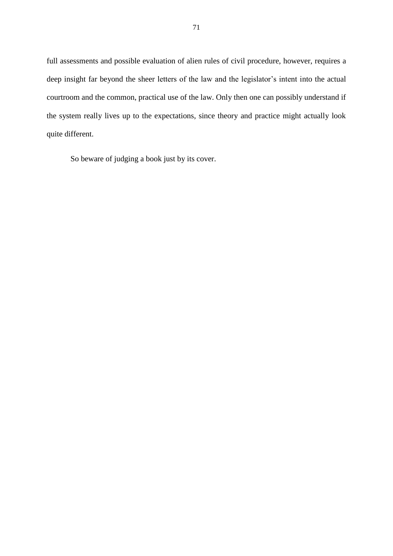full assessments and possible evaluation of alien rules of civil procedure, however, requires a deep insight far beyond the sheer letters of the law and the legislator's intent into the actual courtroom and the common, practical use of the law. Only then one can possibly understand if the system really lives up to the expectations, since theory and practice might actually look quite different.

So beware of judging a book just by its cover.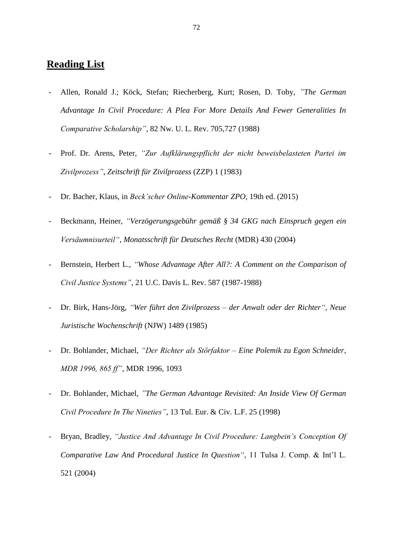## **Reading List**

- Allen, Ronald J.; Köck, Stefan; Riecherberg, Kurt; Rosen, D. Toby, *"The German Advantage In Civil Procedure: A Plea For More Details And Fewer Generalities In Comparative Scholarship"*, 82 Nw. U. L. Rev. 705,727 (1988)
- Prof. Dr. Arens, Peter, *"Zur Aufklärungspflicht der nicht beweisbelasteten Partei im Zivilprozess"*, *Zeitschrift für Zivilprozess* (ZZP) 1 (1983)
- Dr. Bacher, Klaus, in *Beck'scher Online-Kommentar ZPO*, 19th ed. (2015)
- Beckmann, Heiner, *"Verzögerungsgebühr gemäß § 34 GKG nach Einspruch gegen ein Versäumnisurteil"*, *Monatsschrift für Deutsches Recht* (MDR) 430 (2004)
- Bernstein, Herbert L., *"Whose Advantage After All?: A Comment on the Comparison of Civil Justice Systems"*, 21 U.C. Davis L. Rev. 587 (1987-1988)
- Dr. Birk, Hans-Jörg, *"Wer führt den Zivilprozess – der Anwalt oder der Richter", Neue Juristische Wochenschrift* (NJW) 1489 (1985)
- Dr. Bohlander, Michael, *"Der Richter als Störfaktor – Eine Polemik zu Egon Schneider, MDR 1996, 865 ff"*, MDR 1996, 1093
- Dr. Bohlander, Michael, *"The German Advantage Revisited: An Inside View Of German Civil Procedure In The Nineties"*, 13 Tul. Eur. & Civ. L.F. 25 (1998)
- Bryan, Bradley, *"Justice And Advantage In Civil Procedure: Langbein's Conception Of Comparative Law And Procedural Justice In Question"*, 11 Tulsa J. Comp. & Int'l L. 521 (2004)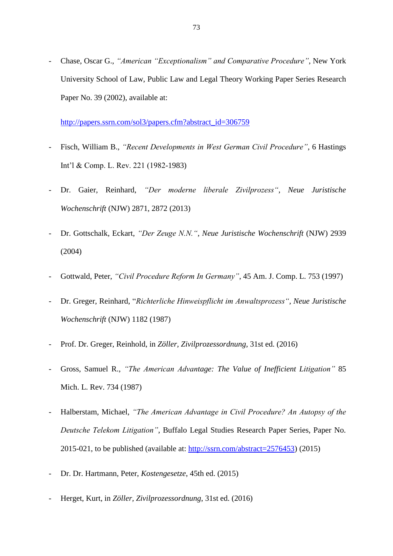- Chase, Oscar G., *"American "Exceptionalism" and Comparative Procedure"*, New York University School of Law, Public Law and Legal Theory Working Paper Series Research Paper No. 39 (2002), available at:

[http://papers.ssrn.com/sol3/papers.cfm?abstract\\_id=306759](http://papers.ssrn.com/sol3/papers.cfm?abstract_id=306759)

- Fisch, William B., *"Recent Developments in West German Civil Procedure"*, 6 Hastings Int'l & Comp. L. Rev. 221 (1982-1983)
- Dr. Gaier, Reinhard, *"Der moderne liberale Zivilprozess"*, *Neue Juristische Wochenschrift* (NJW) 2871, 2872 (2013)
- Dr. Gottschalk, Eckart, *"Der Zeuge N.N."*, *Neue Juristische Wochenschrift* (NJW) 2939 (2004)
- Gottwald, Peter, *"Civil Procedure Reform In Germany"*, 45 Am. J. Comp. L. 753 (1997)
- Dr. Greger, Reinhard, "*Richterliche Hinweispflicht im Anwaltsprozess"*, *Neue Juristische Wochenschrift* (NJW) 1182 (1987)
- Prof. Dr. Greger, Reinhold, in *Zöller, Zivilprozessordnung*, 31st ed. (2016)
- Gross, Samuel R., *"The American Advantage: The Value of Inefficient Litigation"* 85 Mich. L. Rev. 734 (1987)
- Halberstam, Michael, *"The American Advantage in Civil Procedure? An Autopsy of the Deutsche Telekom Litigation"*, Buffalo Legal Studies Research Paper Series, Paper No. 2015-021, to be published (available at: [http://ssrn.com/abstract=2576453\)](http://ssrn.com/abstract=2576453) (2015)
- Dr. Dr. Hartmann, Peter, *Kostengesetze*, 45th ed. (2015)
- Herget, Kurt, in *Zöller, Zivilprozessordnung*, 31st ed. (2016)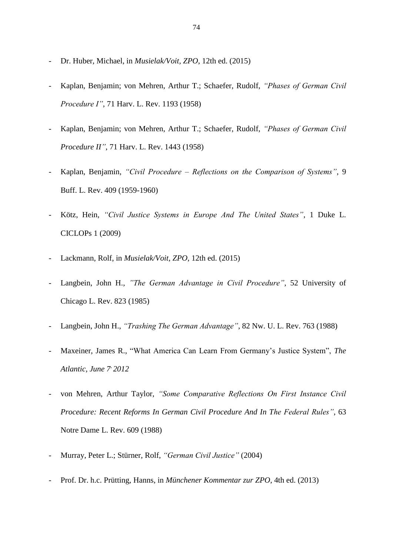- Dr. Huber, Michael, in *Musielak/Voit, ZPO*, 12th ed. (2015)
- Kaplan, Benjamin; von Mehren, Arthur T.; Schaefer, Rudolf, *"Phases of German Civil Procedure I"*, 71 Harv. L. Rev. 1193 (1958)
- Kaplan, Benjamin; von Mehren, Arthur T.; Schaefer, Rudolf, *"Phases of German Civil Procedure II"*, 71 Harv. L. Rev. 1443 (1958)
- Kaplan, Benjamin, *"Civil Procedure – Reflections on the Comparison of Systems"*, 9 Buff. L. Rev. 409 (1959-1960)
- Kötz, Hein, *"Civil Justice Systems in Europe And The United States"*, 1 Duke L. CICLOPs 1 (2009)
- Lackmann, Rolf, in *Musielak/Voit, ZPO*, 12th ed. (2015)
- Langbein, John H., "The German Advantage in Civil Procedure", 52 University of Chicago L. Rev. 823 (1985)
- Langbein, John H., *"Trashing The German Advantage"*, 82 Nw. U. L. Rev. 763 (1988)
- Maxeiner, James R., "What America Can Learn From Germany's Justice System", *The Atlantic, June 7, 2012*
- von Mehren, Arthur Taylor, *"Some Comparative Reflections On First Instance Civil Procedure: Recent Reforms In German Civil Procedure And In The Federal Rules"*, 63 Notre Dame L. Rev. 609 (1988)
- Murray, Peter L.; Stürner, Rolf, *"German Civil Justice"* (2004)
- Prof. Dr. h.c. Prütting, Hanns, in *Münchener Kommentar zur ZPO*, 4th ed. (2013)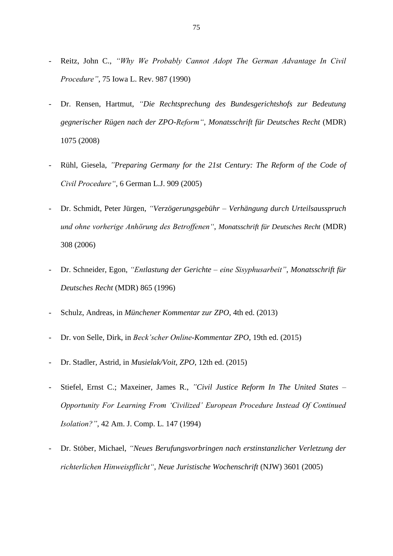- Reitz, John C., *"Why We Probably Cannot Adopt The German Advantage In Civil Procedure"*, 75 Iowa L. Rev. 987 (1990)
- Dr. Rensen, Hartmut, *"Die Rechtsprechung des Bundesgerichtshofs zur Bedeutung gegnerischer Rügen nach der ZPO-Reform"*, *Monatsschrift für Deutsches Recht* (MDR) 1075 (2008)
- Rühl, Giesela, *"Preparing Germany for the 21st Century: The Reform of the Code of Civil Procedure"*, 6 German L.J. 909 (2005)
- Dr. Schmidt, Peter Jürgen, *"Verzögerungsgebühr – Verhängung durch Urteilsausspruch und ohne vorherige Anhörung des Betroffenen"*, *Monatsschrift für Deutsches Recht* (MDR) 308 (2006)
- Dr. Schneider, Egon, *"Entlastung der Gerichte – eine Sisyphusarbeit"*, *Monatsschrift für Deutsches Recht* (MDR) 865 (1996)
- Schulz, Andreas, in *Münchener Kommentar zur ZPO*, 4th ed. (2013)
- Dr. von Selle, Dirk, in *Beck'scher Online-Kommentar ZPO*, 19th ed. (2015)
- Dr. Stadler, Astrid, in *Musielak/Voit, ZPO*, 12th ed. (2015)
- Stiefel, Ernst C.; Maxeiner, James R., *"Civil Justice Reform In The United States – Opportunity For Learning From 'Civilized' European Procedure Instead Of Continued Isolation?"*, 42 Am. J. Comp. L. 147 (1994)
- Dr. Stöber, Michael, *"Neues Berufungsvorbringen nach erstinstanzlicher Verletzung der richterlichen Hinweispflicht"*, *Neue Juristische Wochenschrift* (NJW) 3601 (2005)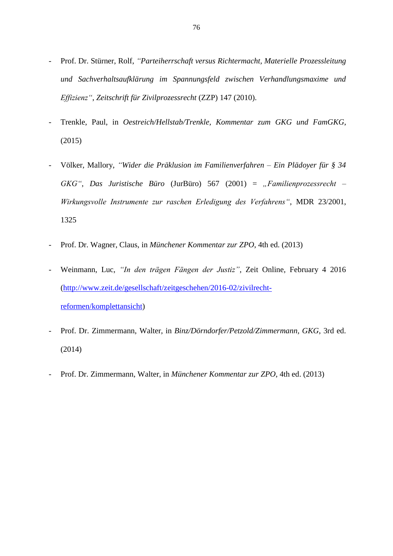- Prof. Dr. Stürner, Rolf, *"Parteiherrschaft versus Richtermacht, Materielle Prozessleitung und Sachverhaltsaufklärung im Spannungsfeld zwischen Verhandlungsmaxime und Effizienz"*, *Zeitschrift für Zivilprozessrecht* (ZZP) 147 (2010).
- Trenkle, Paul, in *Oestreich/Hellstab/Trenkle, Kommentar zum GKG und FamGKG*, (2015)
- Völker, Mallory, *"Wider die Präklusion im Familienverfahren – Ein Plädoyer für § 34 GKG"*, *Das Juristische Büro* (JurBüro) 567 (2001) = *"Familienprozessrecht – Wirkungsvolle Instrumente zur raschen Erledigung des Verfahrens"*, MDR 23/2001, 1325
- Prof. Dr. Wagner, Claus, in *Münchener Kommentar zur ZPO*, 4th ed. (2013)
- Weinmann, Luc, *"In den trägen Fängen der Justiz"*, Zeit Online, February 4 2016 [\(http://www.zeit.de/gesellschaft/zeitgeschehen/2016-02/zivilrecht](http://www.zeit.de/gesellschaft/zeitgeschehen/2016-02/zivilrecht-reformen/komplettansicht)[reformen/komplettansicht\)](http://www.zeit.de/gesellschaft/zeitgeschehen/2016-02/zivilrecht-reformen/komplettansicht)
- Prof. Dr. Zimmermann, Walter, in *Binz/Dörndorfer/Petzold/Zimmermann, GKG*, 3rd ed. (2014)
- Prof. Dr. Zimmermann, Walter, in *Münchener Kommentar zur ZPO*, 4th ed. (2013)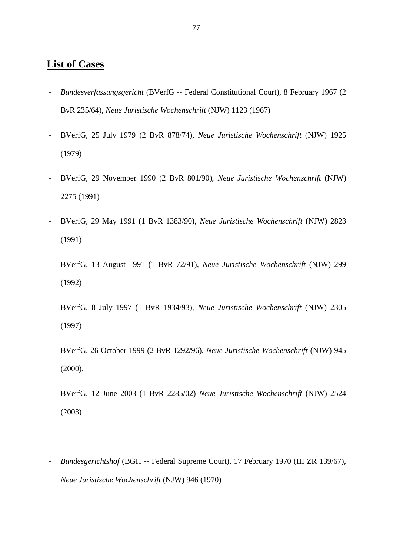## **List of Cases**

- *- Bundesverfassungsgericht* (BVerfG -- Federal Constitutional Court), 8 February 1967 (2 BvR 235/64), *Neue Juristische Wochenschrift* (NJW) 1123 (1967)
- *-* BVerfG, 25 July 1979 (2 BvR 878/74), *Neue Juristische Wochenschrift* (NJW) 1925 (1979)
- *-* BVerfG, 29 November 1990 (2 BvR 801/90), *Neue Juristische Wochenschrift* (NJW) 2275 (1991)
- *-* BVerfG, 29 May 1991 (1 BvR 1383/90), *Neue Juristische Wochenschrift* (NJW) 2823 (1991)
- *-* BVerfG, 13 August 1991 (1 BvR 72/91), *Neue Juristische Wochenschrift* (NJW) 299 (1992)
- *-* BVerfG, 8 July 1997 (1 BvR 1934/93), *Neue Juristische Wochenschrift* (NJW) 2305 (1997)
- *-* BVerfG, 26 October 1999 (2 BvR 1292/96), *Neue Juristische Wochenschrift* (NJW) 945 (2000).
- *-* BVerfG, 12 June 2003 (1 BvR 2285/02) *Neue Juristische Wochenschrift* (NJW) 2524 (2003)
- *- Bundesgerichtshof* (BGH -- Federal Supreme Court), 17 February 1970 (III ZR 139/67), *Neue Juristische Wochenschrift* (NJW) 946 (1970)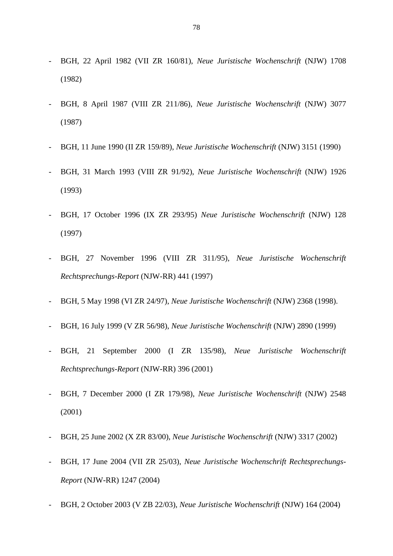- *-* BGH, 22 April 1982 (VII ZR 160/81), *Neue Juristische Wochenschrift* (NJW) 1708 (1982)
- *-* BGH, 8 April 1987 (VIII ZR 211/86), *Neue Juristische Wochenschrift* (NJW) 3077 (1987)
- *-* BGH, 11 June 1990 (II ZR 159/89), *Neue Juristische Wochenschrift* (NJW) 3151 (1990)
- *-* BGH, 31 March 1993 (VIII ZR 91/92), *Neue Juristische Wochenschrift* (NJW) 1926 (1993)
- *-* BGH, 17 October 1996 (IX ZR 293/95) *Neue Juristische Wochenschrift* (NJW) 128 (1997)
- *-* BGH, 27 November 1996 (VIII ZR 311/95), *Neue Juristische Wochenschrift Rechtsprechungs-Report* (NJW-RR) 441 (1997)
- *-* BGH, 5 May 1998 (VI ZR 24/97), *Neue Juristische Wochenschrift* (NJW) 2368 (1998).
- *-* BGH, 16 July 1999 (V ZR 56/98), *Neue Juristische Wochenschrift* (NJW) 2890 (1999)
- *-* BGH, 21 September 2000 (I ZR 135/98), *Neue Juristische Wochenschrift Rechtsprechungs-Report* (NJW-RR) 396 (2001)
- *-* BGH, 7 December 2000 (I ZR 179/98), *Neue Juristische Wochenschrift* (NJW) 2548 (2001)
- *-* BGH, 25 June 2002 (X ZR 83/00), *Neue Juristische Wochenschrift* (NJW) 3317 (2002)
- *-* BGH, 17 June 2004 (VII ZR 25/03), *Neue Juristische Wochenschrift Rechtsprechungs-Report* (NJW-RR) 1247 (2004)
- *-* BGH, 2 October 2003 (V ZB 22/03), *Neue Juristische Wochenschrift* (NJW) 164 (2004)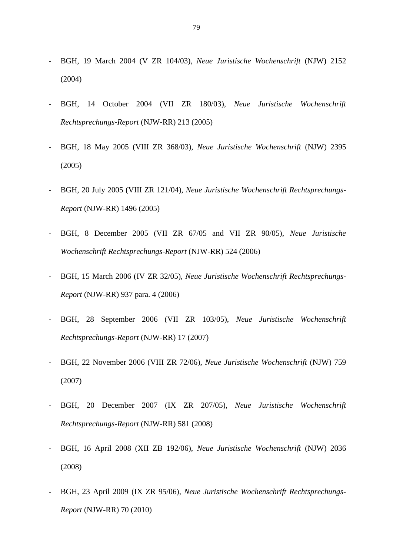- *-* BGH, 19 March 2004 (V ZR 104/03), *Neue Juristische Wochenschrift* (NJW) 2152 (2004)
- *-* BGH, 14 October 2004 (VII ZR 180/03), *Neue Juristische Wochenschrift Rechtsprechungs-Report* (NJW-RR) 213 (2005)
- *-* BGH, 18 May 2005 (VIII ZR 368/03), *Neue Juristische Wochenschrift* (NJW) 2395 (2005)
- *-* BGH, 20 July 2005 (VIII ZR 121/04), *Neue Juristische Wochenschrift Rechtsprechungs-Report* (NJW-RR) 1496 (2005)
- *-* BGH, 8 December 2005 (VII ZR 67/05 and VII ZR 90/05), *Neue Juristische Wochenschrift Rechtsprechungs-Report* (NJW-RR) 524 (2006)
- *-* BGH, 15 March 2006 (IV ZR 32/05), *Neue Juristische Wochenschrift Rechtsprechungs-Report* (NJW-RR) 937 para. 4 (2006)
- *-* BGH, 28 September 2006 (VII ZR 103/05), *Neue Juristische Wochenschrift Rechtsprechungs-Report* (NJW-RR) 17 (2007)
- *-* BGH, 22 November 2006 (VIII ZR 72/06), *Neue Juristische Wochenschrift* (NJW) 759 (2007)
- *-* BGH, 20 December 2007 (IX ZR 207/05), *Neue Juristische Wochenschrift Rechtsprechungs-Report* (NJW-RR) 581 (2008)
- *-* BGH, 16 April 2008 (XII ZB 192/06), *Neue Juristische Wochenschrift* (NJW) 2036 (2008)
- *-* BGH, 23 April 2009 (IX ZR 95/06), *Neue Juristische Wochenschrift Rechtsprechungs-Report* (NJW-RR) 70 (2010)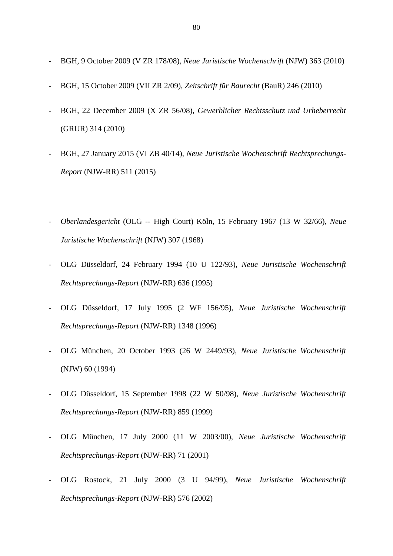- *-* BGH, 9 October 2009 (V ZR 178/08), *Neue Juristische Wochenschrift* (NJW) 363 (2010)
- *-* BGH, 15 October 2009 (VII ZR 2/09), *Zeitschrift für Baurecht* (BauR) 246 (2010)
- *-* BGH, 22 December 2009 (X ZR 56/08), *Gewerblicher Rechtsschutz und Urheberrecht* (GRUR) 314 (2010)
- *-* BGH, 27 January 2015 (VI ZB 40/14), *Neue Juristische Wochenschrift Rechtsprechungs-Report* (NJW-RR) 511 (2015)
- *- Oberlandesgericht* (OLG -- High Court) Köln, 15 February 1967 (13 W 32/66), *Neue Juristische Wochenschrift* (NJW) 307 (1968)
- *-* OLG Düsseldorf, 24 February 1994 (10 U 122/93), *Neue Juristische Wochenschrift Rechtsprechungs-Report* (NJW-RR) 636 (1995)
- *-* OLG Düsseldorf, 17 July 1995 (2 WF 156/95), *Neue Juristische Wochenschrift Rechtsprechungs-Report* (NJW-RR) 1348 (1996)
- *-* OLG München, 20 October 1993 (26 W 2449/93), *Neue Juristische Wochenschrift* (NJW) 60 (1994)
- *-* OLG Düsseldorf, 15 September 1998 (22 W 50/98), *Neue Juristische Wochenschrift Rechtsprechungs-Report* (NJW-RR) 859 (1999)
- *-* OLG München, 17 July 2000 (11 W 2003/00), *Neue Juristische Wochenschrift Rechtsprechungs-Report* (NJW-RR) 71 (2001)
- *-* OLG Rostock, 21 July 2000 (3 U 94/99), *Neue Juristische Wochenschrift Rechtsprechungs-Report* (NJW-RR) 576 (2002)